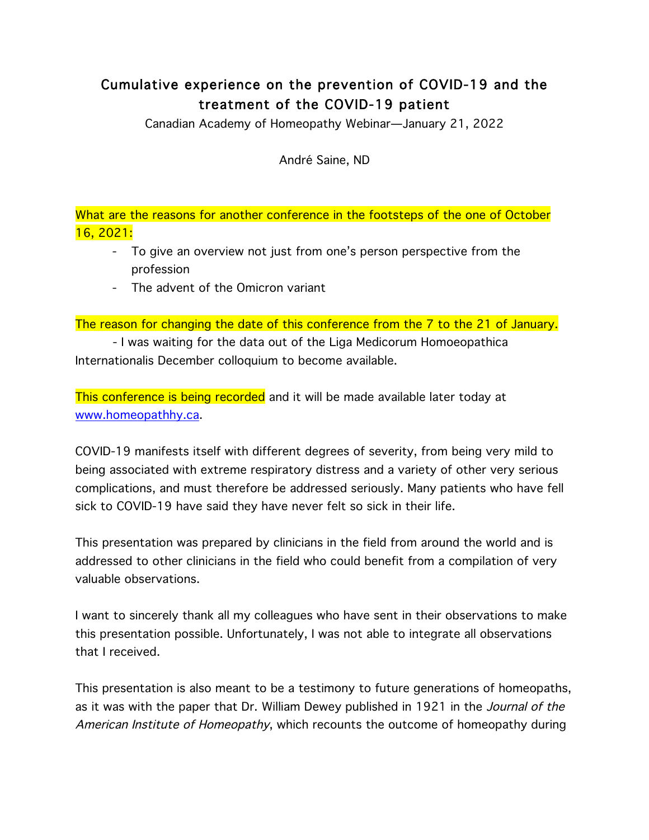# Cumulative experience on the prevention of COVID-19 and the treatment of the COVID-19 patient

Canadian Academy of Homeopathy Webinar—January 21, 2022

André Saine, ND

What are the reasons for another conference in the footsteps of the one of October 16, 2021:

- To give an overview not just from one's person perspective from the profession
- The advent of the Omicron variant

The reason for changing the date of this conference from the 7 to the 21 of January.

- I was waiting for the data out of the Liga Medicorum Homoeopathica Internationalis December colloquium to become available.

This conference is being recorded and it will be made available later today at www.homeopathhy.ca.

COVID-19 manifests itself with different degrees of severity, from being very mild to being associated with extreme respiratory distress and a variety of other very serious complications, and must therefore be addressed seriously. Many patients who have fell sick to COVID-19 have said they have never felt so sick in their life.

This presentation was prepared by clinicians in the field from around the world and is addressed to other clinicians in the field who could benefit from a compilation of very valuable observations.

I want to sincerely thank all my colleagues who have sent in their observations to make this presentation possible. Unfortunately, I was not able to integrate all observations that I received.

This presentation is also meant to be a testimony to future generations of homeopaths, as it was with the paper that Dr. William Dewey published in 1921 in the *Journal of the* American Institute of Homeopathy, which recounts the outcome of homeopathy during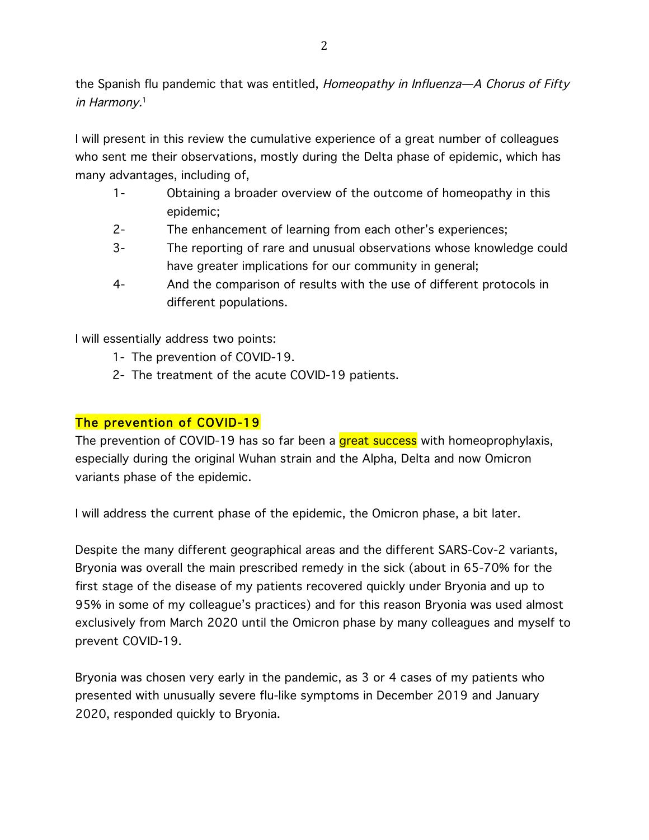the Spanish flu pandemic that was entitled, Homeopathy in Influenza-A Chorus of Fifty in Harmony.<sup>1</sup>

I will present in this review the cumulative experience of a great number of colleagues who sent me their observations, mostly during the Delta phase of epidemic, which has many advantages, including of,

- 1- Obtaining a broader overview of the outcome of homeopathy in this epidemic;
- 2- The enhancement of learning from each other's experiences;
- 3- The reporting of rare and unusual observations whose knowledge could have greater implications for our community in general;
- 4- And the comparison of results with the use of different protocols in different populations.

I will essentially address two points:

- 1- The prevention of COVID-19.
- 2- The treatment of the acute COVID-19 patients.

# The prevention of COVID-19

The prevention of COVID-19 has so far been a great success with homeoprophylaxis, especially during the original Wuhan strain and the Alpha, Delta and now Omicron variants phase of the epidemic.

I will address the current phase of the epidemic, the Omicron phase, a bit later.

Despite the many different geographical areas and the different SARS-Cov-2 variants, Bryonia was overall the main prescribed remedy in the sick (about in 65-70% for the first stage of the disease of my patients recovered quickly under Bryonia and up to 95% in some of my colleague's practices) and for this reason Bryonia was used almost exclusively from March 2020 until the Omicron phase by many colleagues and myself to prevent COVID-19.

Bryonia was chosen very early in the pandemic, as 3 or 4 cases of my patients who presented with unusually severe flu-like symptoms in December 2019 and January 2020, responded quickly to Bryonia.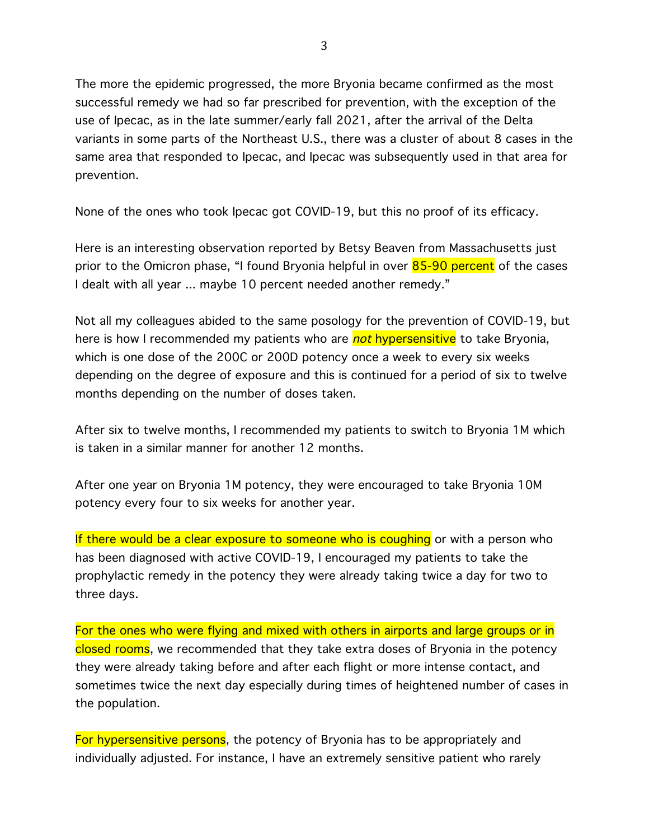The more the epidemic progressed, the more Bryonia became confirmed as the most successful remedy we had so far prescribed for prevention, with the exception of the use of Ipecac, as in the late summer/early fall 2021, after the arrival of the Delta variants in some parts of the Northeast U.S., there was a cluster of about 8 cases in the same area that responded to Ipecac, and Ipecac was subsequently used in that area for prevention.

None of the ones who took Ipecac got COVID-19, but this no proof of its efficacy.

Here is an interesting observation reported by Betsy Beaven from Massachusetts just prior to the Omicron phase, "I found Bryonia helpful in over 85-90 percent of the cases I dealt with all year ... maybe 10 percent needed another remedy."

Not all my colleagues abided to the same posology for the prevention of COVID-19, but here is how I recommended my patients who are *not* hypersensitive to take Bryonia, which is one dose of the 200C or 200D potency once a week to every six weeks depending on the degree of exposure and this is continued for a period of six to twelve months depending on the number of doses taken.

After six to twelve months, I recommended my patients to switch to Bryonia 1M which is taken in a similar manner for another 12 months.

After one year on Bryonia 1M potency, they were encouraged to take Bryonia 10M potency every four to six weeks for another year.

If there would be a clear exposure to someone who is coughing or with a person who has been diagnosed with active COVID-19, I encouraged my patients to take the prophylactic remedy in the potency they were already taking twice a day for two to three days.

For the ones who were flying and mixed with others in airports and large groups or in closed rooms, we recommended that they take extra doses of Bryonia in the potency they were already taking before and after each flight or more intense contact, and sometimes twice the next day especially during times of heightened number of cases in the population.

For hypersensitive persons, the potency of Bryonia has to be appropriately and individually adjusted. For instance, I have an extremely sensitive patient who rarely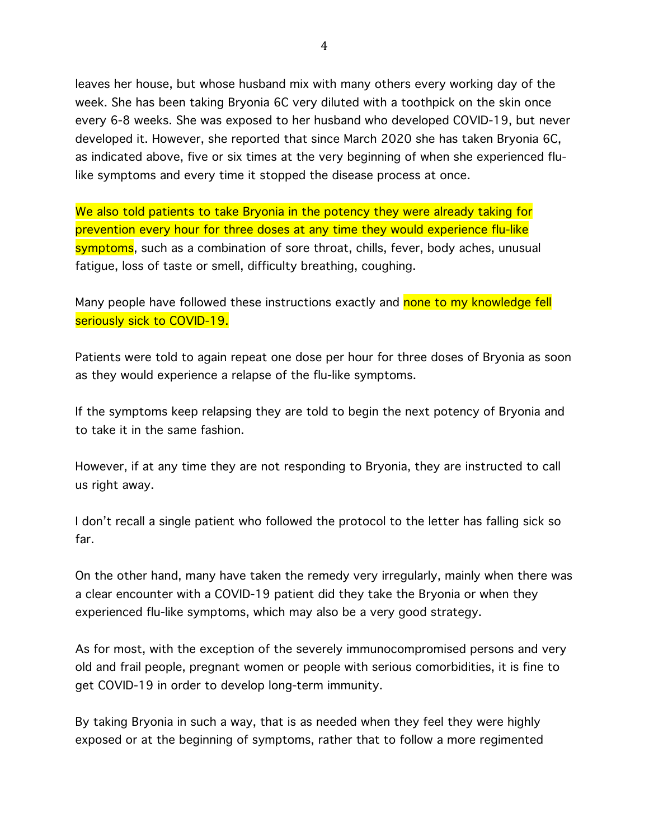leaves her house, but whose husband mix with many others every working day of the week. She has been taking Bryonia 6C very diluted with a toothpick on the skin once every 6-8 weeks. She was exposed to her husband who developed COVID-19, but never developed it. However, she reported that since March 2020 she has taken Bryonia 6C, as indicated above, five or six times at the very beginning of when she experienced flulike symptoms and every time it stopped the disease process at once.

We also told patients to take Bryonia in the potency they were already taking for prevention every hour for three doses at any time they would experience flu-like symptoms, such as a combination of sore throat, chills, fever, body aches, unusual fatigue, loss of taste or smell, difficulty breathing, coughing.

Many people have followed these instructions exactly and none to my knowledge fell seriously sick to COVID-19.

Patients were told to again repeat one dose per hour for three doses of Bryonia as soon as they would experience a relapse of the flu-like symptoms.

If the symptoms keep relapsing they are told to begin the next potency of Bryonia and to take it in the same fashion.

However, if at any time they are not responding to Bryonia, they are instructed to call us right away.

I don't recall a single patient who followed the protocol to the letter has falling sick so far.

On the other hand, many have taken the remedy very irregularly, mainly when there was a clear encounter with a COVID-19 patient did they take the Bryonia or when they experienced flu-like symptoms, which may also be a very good strategy.

As for most, with the exception of the severely immunocompromised persons and very old and frail people, pregnant women or people with serious comorbidities, it is fine to get COVID-19 in order to develop long-term immunity.

By taking Bryonia in such a way, that is as needed when they feel they were highly exposed or at the beginning of symptoms, rather that to follow a more regimented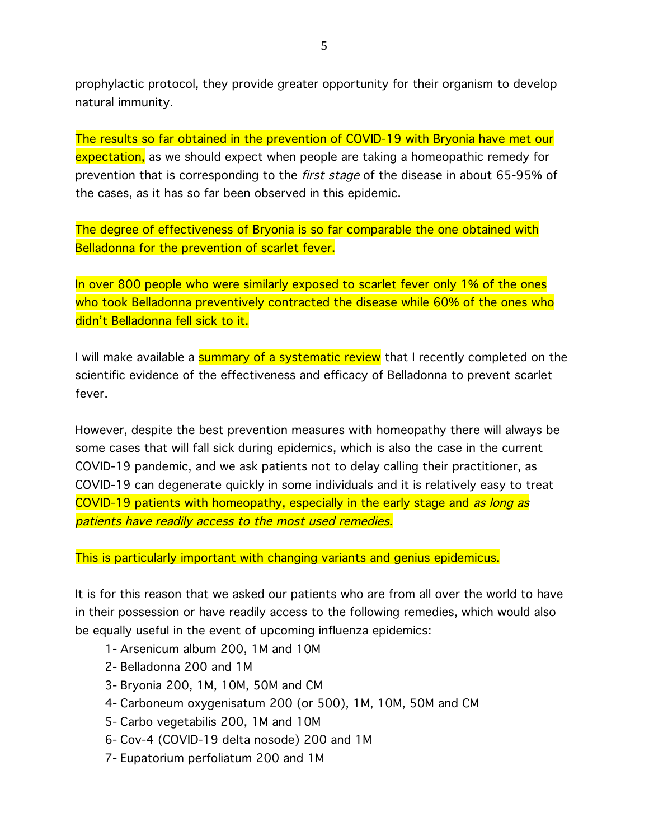prophylactic protocol, they provide greater opportunity for their organism to develop natural immunity.

The results so far obtained in the prevention of COVID-19 with Bryonia have met our expectation, as we should expect when people are taking a homeopathic remedy for prevention that is corresponding to the first stage of the disease in about 65-95% of the cases, as it has so far been observed in this epidemic.

The degree of effectiveness of Bryonia is so far comparable the one obtained with Belladonna for the prevention of scarlet fever.

In over 800 people who were similarly exposed to scarlet fever only 1% of the ones who took Belladonna preventively contracted the disease while 60% of the ones who didn't Belladonna fell sick to it.

I will make available a **summary of a systematic review** that I recently completed on the scientific evidence of the effectiveness and efficacy of Belladonna to prevent scarlet fever.

However, despite the best prevention measures with homeopathy there will always be some cases that will fall sick during epidemics, which is also the case in the current COVID-19 pandemic, and we ask patients not to delay calling their practitioner, as COVID-19 can degenerate quickly in some individuals and it is relatively easy to treat COVID-19 patients with homeopathy, especially in the early stage and *as long as* patients have readily access to the most used remedies.

This is particularly important with changing variants and genius epidemicus.

It is for this reason that we asked our patients who are from all over the world to have in their possession or have readily access to the following remedies, which would also be equally useful in the event of upcoming influenza epidemics:

- 1- Arsenicum album 200, 1M and 10M
- 2- Belladonna 200 and 1M
- 3- Bryonia 200, 1M, 10M, 50M and CM
- 4- Carboneum oxygenisatum 200 (or 500), 1M, 10M, 50M and CM
- 5- Carbo vegetabilis 200, 1M and 10M
- 6- Cov-4 (COVID-19 delta nosode) 200 and 1M
- 7- Eupatorium perfoliatum 200 and 1M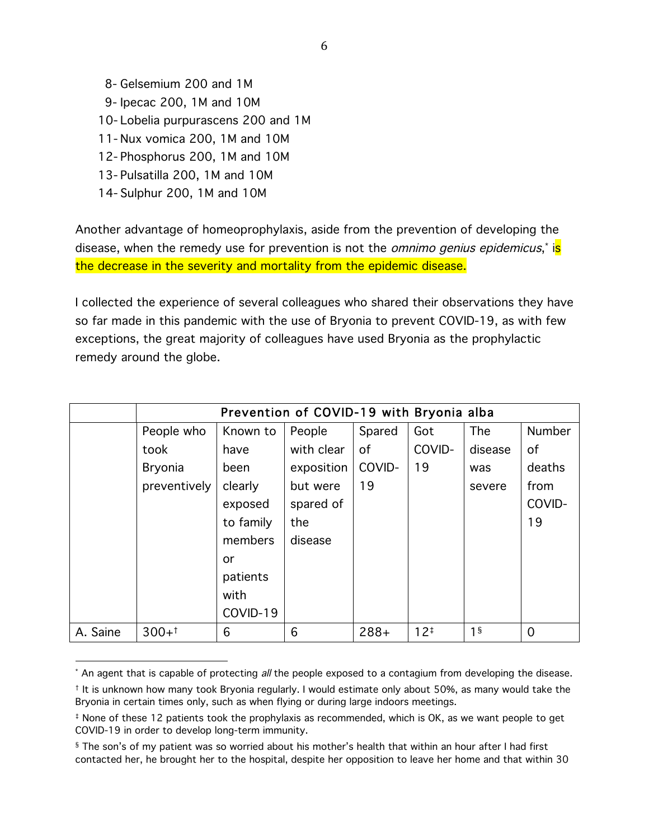8- Gelsemium 200 and 1M 9- Ipecac 200, 1M and 10M 10- Lobelia purpurascens 200 and 1M 11- Nux vomica 200, 1M and 10M 12- Phosphorus 200, 1M and 10M 13- Pulsatilla 200, 1M and 10M 14- Sulphur 200, 1M and 10M

 

Another advantage of homeoprophylaxis, aside from the prevention of developing the disease, when the remedy use for prevention is not the *omnimo genius epidemicus*,\* i<mark>s</mark> the decrease in the severity and mortality from the epidemic disease.

I collected the experience of several colleagues who shared their observations they have so far made in this pandemic with the use of Bryonia to prevent COVID-19, as with few exceptions, the great majority of colleagues have used Bryonia as the prophylactic remedy around the globe.

|          | Prevention of COVID-19 with Bryonia alba |           |            |        |          |                |                |  |  |  |
|----------|------------------------------------------|-----------|------------|--------|----------|----------------|----------------|--|--|--|
|          | People who                               | Known to  | People     | Spared | Got      | The            | <b>Number</b>  |  |  |  |
|          | took                                     | have      | with clear | of     | COVID-   | disease        | of             |  |  |  |
|          | <b>Bryonia</b>                           | been      | exposition | COVID- | 19       | was            | deaths         |  |  |  |
|          | preventively                             | clearly   | but were   | 19     |          | severe         | from           |  |  |  |
|          |                                          | exposed   | spared of  |        |          |                | COVID-         |  |  |  |
|          |                                          | to family | the        |        |          |                | 19             |  |  |  |
|          |                                          | members   | disease    |        |          |                |                |  |  |  |
|          |                                          | or        |            |        |          |                |                |  |  |  |
|          |                                          | patients  |            |        |          |                |                |  |  |  |
|          |                                          | with      |            |        |          |                |                |  |  |  |
|          |                                          | COVID-19  |            |        |          |                |                |  |  |  |
| A. Saine | $300+1$                                  | 6         | 6          | $288+$ | $12^{+}$ | 1 <sup>§</sup> | $\overline{0}$ |  |  |  |

<sup>\*</sup> An agent that is capable of protecting all the people exposed to a contagium from developing the disease.

<sup>†</sup> It is unknown how many took Bryonia regularly. I would estimate only about 50%, as many would take the Bryonia in certain times only, such as when flying or during large indoors meetings.

<sup>‡</sup> None of these 12 patients took the prophylaxis as recommended, which is OK, as we want people to get COVID-19 in order to develop long-term immunity.

<sup>§</sup> The son's of my patient was so worried about his mother's health that within an hour after I had first contacted her, he brought her to the hospital, despite her opposition to leave her home and that within 30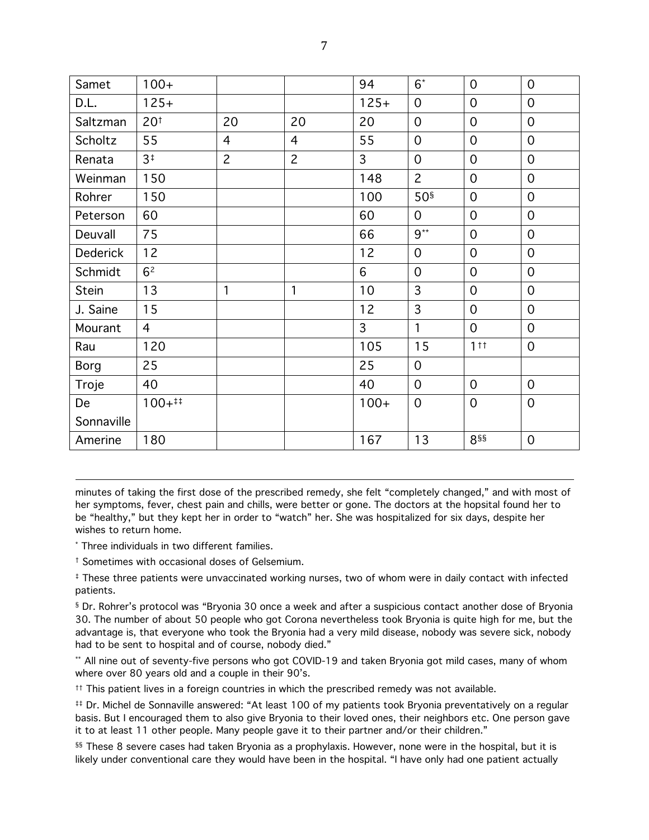| Samet           | $100+$          |                |                | 94             | $6^*$           | $\mathbf 0$     | $\overline{0}$   |
|-----------------|-----------------|----------------|----------------|----------------|-----------------|-----------------|------------------|
| D.L.            | $125+$          |                |                | $125+$         | $\overline{0}$  | $\overline{0}$  | $\overline{O}$   |
| Saltzman        | 20 <sup>†</sup> | 20             | 20             | 20             | 0               | $\mathbf 0$     | $\overline{0}$   |
| Scholtz         | 55              | $\overline{4}$ | $\overline{4}$ | 55             | $\overline{0}$  | $\overline{0}$  | $\Omega$         |
| Renata          | 3 <sup>†</sup>  | $\overline{c}$ | $\overline{c}$ | $\overline{3}$ | $\overline{O}$  | $\overline{0}$  | $\overline{O}$   |
| Weinman         | 150             |                |                | 148            | $\overline{2}$  | $\mathbf 0$     | $\overline{0}$   |
| Rohrer          | 150             |                |                | 100            | 50 <sup>§</sup> | $\overline{0}$  | $\overline{O}$   |
| Peterson        | 60              |                |                | 60             | $\overline{O}$  | $\overline{0}$  | $\mathbf 0$      |
| Deuvall         | 75              |                |                | 66             | $9^{**}$        | $\mathbf 0$     | $\mathbf{O}$     |
| <b>Dederick</b> | 12              |                |                | 12             | $\mathbf 0$     | $\overline{0}$  | $\overline{0}$   |
| Schmidt         | 6 <sup>2</sup>  |                |                | 6              | $\overline{0}$  | $\overline{0}$  | $\overline{0}$   |
| <b>Stein</b>    | 13              | $\mathbf{1}$   | 1              | 10             | 3               | $\overline{0}$  | $\overline{0}$   |
| J. Saine        | 15              |                |                | 12             | 3               | $\mathbf 0$     | $\overline{0}$   |
| Mourant         | $\overline{4}$  |                |                | $\overline{3}$ | $\mathbf{1}$    | $\overline{0}$  | $\overline{O}$   |
| Rau             | 120             |                |                | 105            | 15              | 1 <sup>†</sup>  | $\overline{O}$   |
| <b>Borg</b>     | 25              |                |                | 25             | $\mathbf 0$     |                 |                  |
| Troje           | 40              |                |                | 40             | $\overline{0}$  | $\overline{0}$  | $\overline{0}$   |
| De              | $100+$ ##       |                |                | $100+$         | $\mathbf 0$     | $\mathbf 0$     | $\boldsymbol{0}$ |
| Sonnaville      |                 |                |                |                |                 |                 |                  |
| Amerine         | 180             |                |                | 167            | 13              | 8 <sub>SS</sub> | $\overline{O}$   |

minutes of taking the first dose of the prescribed remedy, she felt "completely changed," and with most of her symptoms, fever, chest pain and chills, were better or gone. The doctors at the hopsital found her to be "healthy," but they kept her in order to "watch" her. She was hospitalized for six days, despite her wishes to return home.

<u> 1989 - Andrea Santa Andrea Andrea Andrea Andrea Andrea Andrea Andrea Andrea Andrea Andrea Andrea Andrea Andr</u>

\* Three individuals in two different families.

† Sometimes with occasional doses of Gelsemium.

‡ These three patients were unvaccinated working nurses, two of whom were in daily contact with infected patients.

§ Dr. Rohrer's protocol was "Bryonia 30 once a week and after a suspicious contact another dose of Bryonia 30. The number of about 50 people who got Corona nevertheless took Bryonia is quite high for me, but the advantage is, that everyone who took the Bryonia had a very mild disease, nobody was severe sick, nobody had to be sent to hospital and of course, nobody died."

\*\* All nine out of seventy-five persons who got COVID-19 and taken Bryonia got mild cases, many of whom where over 80 years old and a couple in their 90's.

 $<sup>††</sup>$  This patient lives in a foreign countries in which the prescribed remedy was not available.</sup>

‡‡ Dr. Michel de Sonnaville answered: "At least 100 of my patients took Bryonia preventatively on a regular basis. But I encouraged them to also give Bryonia to their loved ones, their neighbors etc. One person gave it to at least 11 other people. Many people gave it to their partner and/or their children."

§§ These 8 severe cases had taken Bryonia as a prophylaxis. However, none were in the hospital, but it is likely under conventional care they would have been in the hospital. "I have only had one patient actually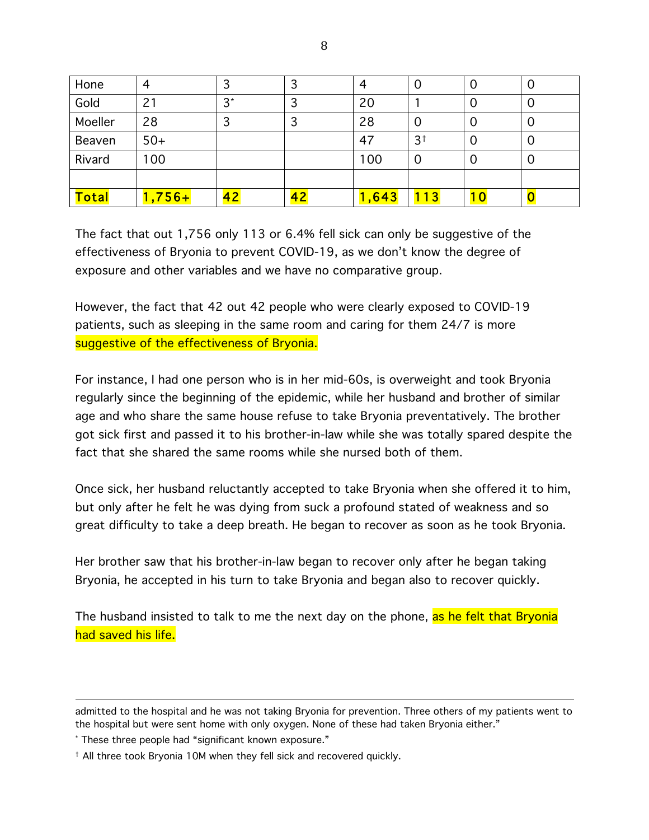| Hone         | 4        | っ<br>C |    |       | U              | U  | Ő |
|--------------|----------|--------|----|-------|----------------|----|---|
| Gold         |          | $3^*$  |    | 20    |                |    | Ő |
| Moeller      | 28       | 3      | ت  | 28    | Ő              | O  | Ő |
| Beaven       | $50+$    |        |    | 47    | 3 <sup>†</sup> |    | O |
| Rivard       | 100      |        |    | 100   | O              |    | Ő |
|              |          |        |    |       |                |    |   |
| <b>Total</b> | $1,756+$ | 42     | 42 | 1,643 | 13             | 10 |   |

The fact that out 1,756 only 113 or 6.4% fell sick can only be suggestive of the effectiveness of Bryonia to prevent COVID-19, as we don't know the degree of exposure and other variables and we have no comparative group.

However, the fact that 42 out 42 people who were clearly exposed to COVID-19 patients, such as sleeping in the same room and caring for them 24/7 is more suggestive of the effectiveness of Bryonia.

For instance, I had one person who is in her mid-60s, is overweight and took Bryonia regularly since the beginning of the epidemic, while her husband and brother of similar age and who share the same house refuse to take Bryonia preventatively. The brother got sick first and passed it to his brother-in-law while she was totally spared despite the fact that she shared the same rooms while she nursed both of them.

Once sick, her husband reluctantly accepted to take Bryonia when she offered it to him, but only after he felt he was dying from suck a profound stated of weakness and so great difficulty to take a deep breath. He began to recover as soon as he took Bryonia.

Her brother saw that his brother-in-law began to recover only after he began taking Bryonia, he accepted in his turn to take Bryonia and began also to recover quickly.

The husband insisted to talk to me the next day on the phone, as he felt that Bryonia had saved his life.

<sup>&</sup>lt;u> 1989 - Andrea Santa Andrea Andrea Andrea Andrea Andrea Andrea Andrea Andrea Andrea Andrea Andrea Andrea Andr</u> admitted to the hospital and he was not taking Bryonia for prevention. Three others of my patients went to the hospital but were sent home with only oxygen. None of these had taken Bryonia either."

<sup>\*</sup> These three people had "significant known exposure."

<sup>†</sup> All three took Bryonia 10M when they fell sick and recovered quickly.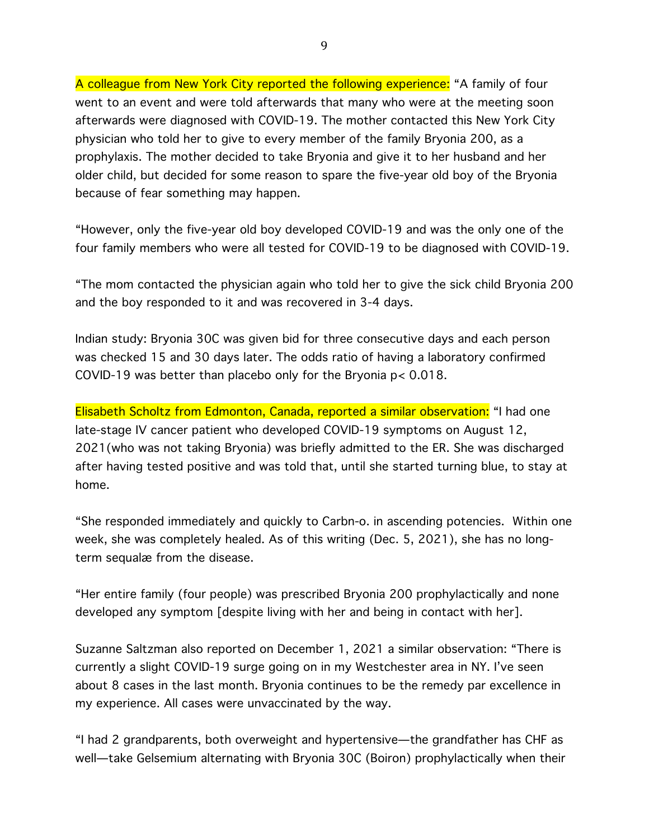A colleague from New York City reported the following experience: "A family of four went to an event and were told afterwards that many who were at the meeting soon afterwards were diagnosed with COVID-19. The mother contacted this New York City physician who told her to give to every member of the family Bryonia 200, as a prophylaxis. The mother decided to take Bryonia and give it to her husband and her older child, but decided for some reason to spare the five-year old boy of the Bryonia because of fear something may happen.

"However, only the five-year old boy developed COVID-19 and was the only one of the four family members who were all tested for COVID-19 to be diagnosed with COVID-19.

"The mom contacted the physician again who told her to give the sick child Bryonia 200 and the boy responded to it and was recovered in 3-4 days.

Indian study: Bryonia 30C was given bid for three consecutive days and each person was checked 15 and 30 days later. The odds ratio of having a laboratory confirmed COVID-19 was better than placebo only for the Bryonia p< 0.018.

Elisabeth Scholtz from Edmonton, Canada, reported a similar observation: "I had one late-stage IV cancer patient who developed COVID-19 symptoms on August 12, 2021(who was not taking Bryonia) was briefly admitted to the ER. She was discharged after having tested positive and was told that, until she started turning blue, to stay at home.

"She responded immediately and quickly to Carbn-o. in ascending potencies. Within one week, she was completely healed. As of this writing (Dec. 5, 2021), she has no longterm sequalæ from the disease.

"Her entire family (four people) was prescribed Bryonia 200 prophylactically and none developed any symptom [despite living with her and being in contact with her].

Suzanne Saltzman also reported on December 1, 2021 a similar observation: "There is currently a slight COVID-19 surge going on in my Westchester area in NY. I've seen about 8 cases in the last month. Bryonia continues to be the remedy par excellence in my experience. All cases were unvaccinated by the way.

"I had 2 grandparents, both overweight and hypertensive—the grandfather has CHF as well—take Gelsemium alternating with Bryonia 30C (Boiron) prophylactically when their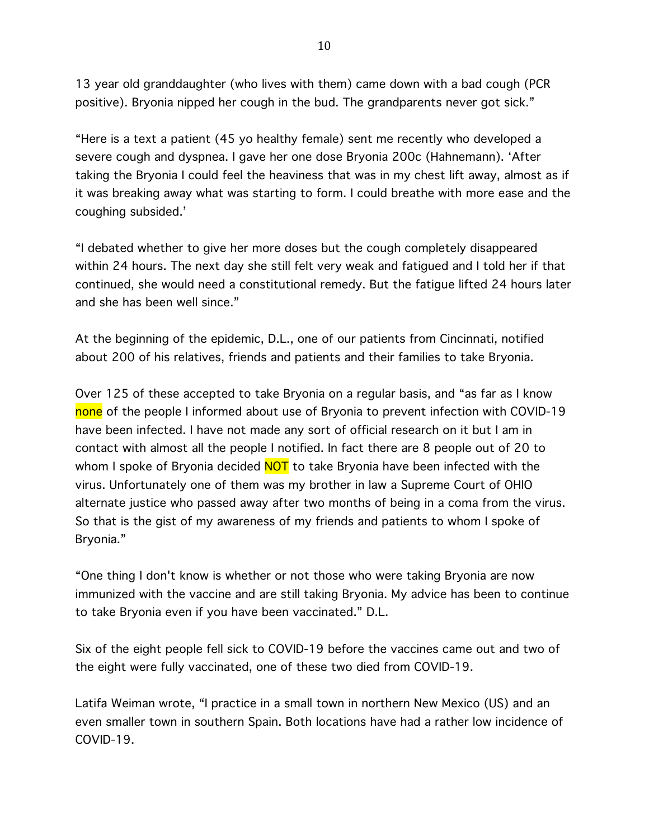13 year old granddaughter (who lives with them) came down with a bad cough (PCR positive). Bryonia nipped her cough in the bud. The grandparents never got sick."

"Here is a text a patient (45 yo healthy female) sent me recently who developed a severe cough and dyspnea. I gave her one dose Bryonia 200c (Hahnemann). 'After taking the Bryonia I could feel the heaviness that was in my chest lift away, almost as if it was breaking away what was starting to form. I could breathe with more ease and the coughing subsided.'

"I debated whether to give her more doses but the cough completely disappeared within 24 hours. The next day she still felt very weak and fatigued and I told her if that continued, she would need a constitutional remedy. But the fatigue lifted 24 hours later and she has been well since."

At the beginning of the epidemic, D.L., one of our patients from Cincinnati, notified about 200 of his relatives, friends and patients and their families to take Bryonia.

Over 125 of these accepted to take Bryonia on a regular basis, and "as far as I know none of the people I informed about use of Bryonia to prevent infection with COVID-19 have been infected. I have not made any sort of official research on it but I am in contact with almost all the people I notified. In fact there are 8 people out of 20 to whom I spoke of Bryonia decided **NOT** to take Bryonia have been infected with the virus. Unfortunately one of them was my brother in law a Supreme Court of OHIO alternate justice who passed away after two months of being in a coma from the virus. So that is the gist of my awareness of my friends and patients to whom I spoke of Bryonia."

"One thing I don't know is whether or not those who were taking Bryonia are now immunized with the vaccine and are still taking Bryonia. My advice has been to continue to take Bryonia even if you have been vaccinated." D.L.

Six of the eight people fell sick to COVID-19 before the vaccines came out and two of the eight were fully vaccinated, one of these two died from COVID-19.

Latifa Weiman wrote, "I practice in a small town in northern New Mexico (US) and an even smaller town in southern Spain. Both locations have had a rather low incidence of COVID-19.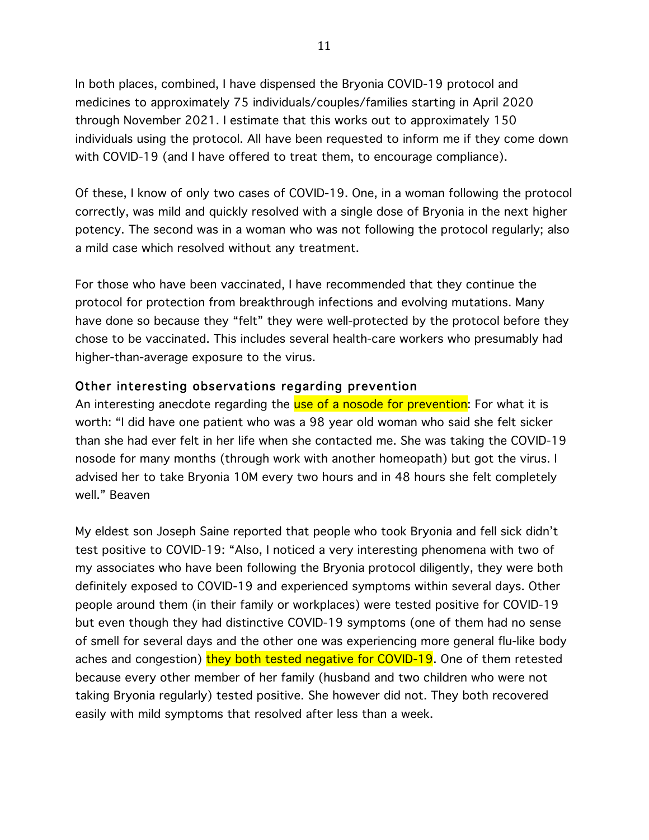In both places, combined, I have dispensed the Bryonia COVID-19 protocol and medicines to approximately 75 individuals/couples/families starting in April 2020 through November 2021. I estimate that this works out to approximately 150 individuals using the protocol. All have been requested to inform me if they come down with COVID-19 (and I have offered to treat them, to encourage compliance).

Of these, I know of only two cases of COVID-19. One, in a woman following the protocol correctly, was mild and quickly resolved with a single dose of Bryonia in the next higher potency. The second was in a woman who was not following the protocol regularly; also a mild case which resolved without any treatment.

For those who have been vaccinated, I have recommended that they continue the protocol for protection from breakthrough infections and evolving mutations. Many have done so because they "felt" they were well-protected by the protocol before they chose to be vaccinated. This includes several health-care workers who presumably had higher-than-average exposure to the virus.

### Other interesting observations regarding prevention

An interesting anecdote regarding the use of a nosode for prevention: For what it is worth: "I did have one patient who was a 98 year old woman who said she felt sicker than she had ever felt in her life when she contacted me. She was taking the COVID-19 nosode for many months (through work with another homeopath) but got the virus. I advised her to take Bryonia 10M every two hours and in 48 hours she felt completely well." Beaven

My eldest son Joseph Saine reported that people who took Bryonia and fell sick didn't test positive to COVID-19: "Also, I noticed a very interesting phenomena with two of my associates who have been following the Bryonia protocol diligently, they were both definitely exposed to COVID-19 and experienced symptoms within several days. Other people around them (in their family or workplaces) were tested positive for COVID-19 but even though they had distinctive COVID-19 symptoms (one of them had no sense of smell for several days and the other one was experiencing more general flu-like body aches and congestion) they both tested negative for COVID-19. One of them retested because every other member of her family (husband and two children who were not taking Bryonia regularly) tested positive. She however did not. They both recovered easily with mild symptoms that resolved after less than a week.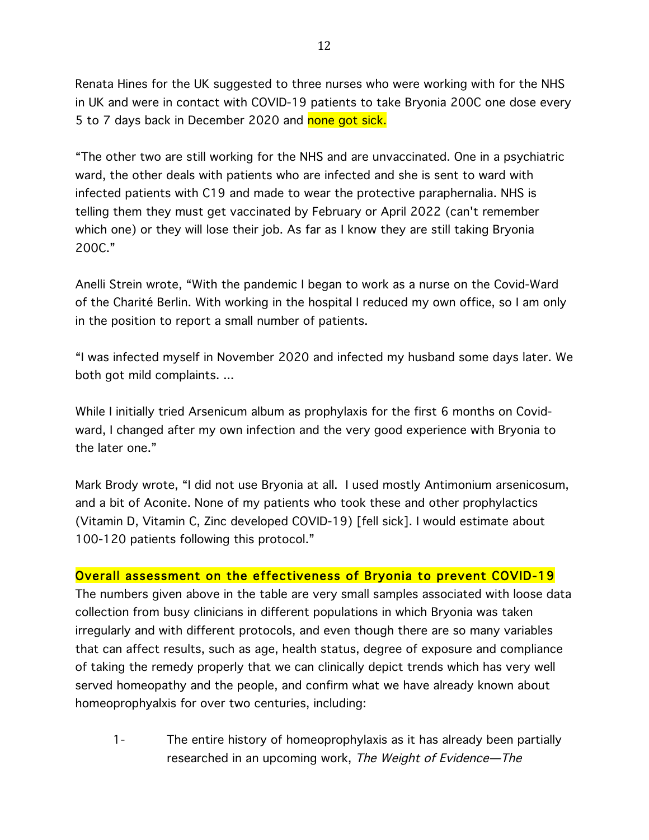Renata Hines for the UK suggested to three nurses who were working with for the NHS in UK and were in contact with COVID-19 patients to take Bryonia 200C one dose every 5 to 7 days back in December 2020 and none got sick.

"The other two are still working for the NHS and are unvaccinated. One in a psychiatric ward, the other deals with patients who are infected and she is sent to ward with infected patients with C19 and made to wear the protective paraphernalia. NHS is telling them they must get vaccinated by February or April 2022 (can't remember which one) or they will lose their job. As far as I know they are still taking Bryonia 200C."

Anelli Strein wrote, "With the pandemic I began to work as a nurse on the Covid-Ward of the Charité Berlin. With working in the hospital I reduced my own office, so I am only in the position to report a small number of patients.

"I was infected myself in November 2020 and infected my husband some days later. We both got mild complaints. ...

While I initially tried Arsenicum album as prophylaxis for the first 6 months on Covidward, I changed after my own infection and the very good experience with Bryonia to the later one."

Mark Brody wrote, "I did not use Bryonia at all. I used mostly Antimonium arsenicosum, and a bit of Aconite. None of my patients who took these and other prophylactics (Vitamin D, Vitamin C, Zinc developed COVID-19) [fell sick]. I would estimate about 100-120 patients following this protocol."

### Overall assessment on the effectiveness of Bryonia to prevent COVID-19

The numbers given above in the table are very small samples associated with loose data collection from busy clinicians in different populations in which Bryonia was taken irregularly and with different protocols, and even though there are so many variables that can affect results, such as age, health status, degree of exposure and compliance of taking the remedy properly that we can clinically depict trends which has very well served homeopathy and the people, and confirm what we have already known about homeoprophyalxis for over two centuries, including:

1- The entire history of homeoprophylaxis as it has already been partially researched in an upcoming work, The Weight of Evidence—The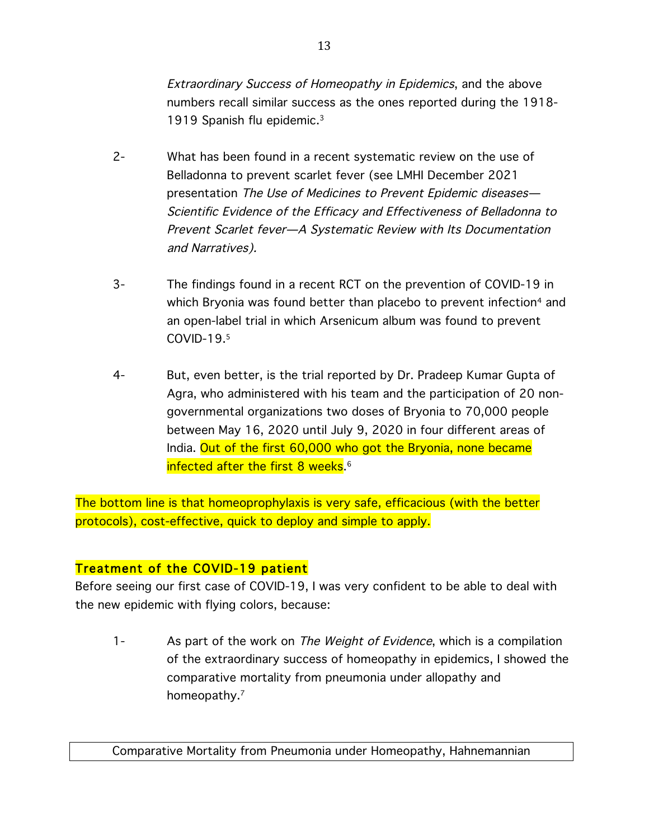Extraordinary Success of Homeopathy in Epidemics, and the above numbers recall similar success as the ones reported during the 1918- 1919 Spanish flu epidemic.3

- 2- What has been found in a recent systematic review on the use of Belladonna to prevent scarlet fever (see LMHI December 2021 presentation The Use of Medicines to Prevent Epidemic diseases— Scientific Evidence of the Efficacy and Effectiveness of Belladonna to Prevent Scarlet fever—A Systematic Review with Its Documentation and Narratives).
- 3- The findings found in a recent RCT on the prevention of COVID-19 in which Bryonia was found better than placebo to prevent infection<sup>4</sup> and an open-label trial in which Arsenicum album was found to prevent COVID-19.5
- 4- But, even better, is the trial reported by Dr. Pradeep Kumar Gupta of Agra, who administered with his team and the participation of 20 nongovernmental organizations two doses of Bryonia to 70,000 people between May 16, 2020 until July 9, 2020 in four different areas of India. Out of the first 60,000 who got the Bryonia, none became infected after the first 8 weeks. 6

The bottom line is that homeoprophylaxis is very safe, efficacious (with the better protocols), cost-effective, quick to deploy and simple to apply.

# Treatment of the COVID-19 patient

Before seeing our first case of COVID-19, I was very confident to be able to deal with the new epidemic with flying colors, because:

1- As part of the work on The Weight of Evidence, which is a compilation of the extraordinary success of homeopathy in epidemics, I showed the comparative mortality from pneumonia under allopathy and homeopathy.<sup>7</sup>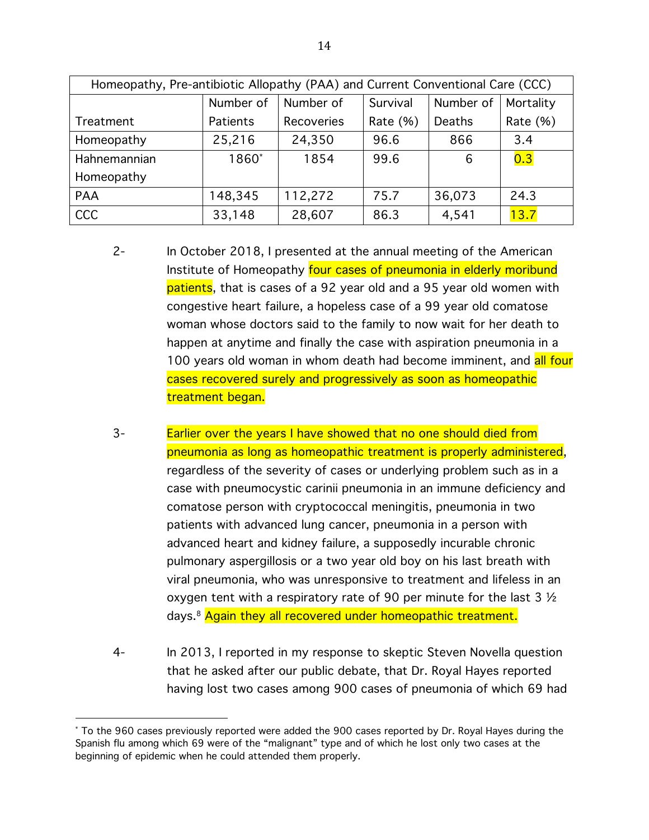| Homeopathy, Pre-antibiotic Allopathy (PAA) and Current Conventional Care (CCC) |           |            |             |           |          |  |  |  |  |
|--------------------------------------------------------------------------------|-----------|------------|-------------|-----------|----------|--|--|--|--|
|                                                                                | Number of | Number of  | Number of   | Mortality |          |  |  |  |  |
| Treatment                                                                      | Patients  | Recoveries | Rate $(% )$ | Deaths    | Rate (%) |  |  |  |  |
| Homeopathy                                                                     | 25,216    | 24,350     | 96.6        | 866       | 3.4      |  |  |  |  |
| Hahnemannian                                                                   | 1860*     | 1854       | 99.6        | 6         | 0.3      |  |  |  |  |
| Homeopathy                                                                     |           |            |             |           |          |  |  |  |  |
| PAA                                                                            | 148,345   | 112,272    | 75.7        | 36,073    | 24.3     |  |  |  |  |
| <b>CCC</b>                                                                     | 33,148    | 28,607     | 86.3        | 4,541     | 13.7     |  |  |  |  |

- 2- In October 2018, I presented at the annual meeting of the American Institute of Homeopathy four cases of pneumonia in elderly moribund patients, that is cases of a 92 year old and a 95 year old women with congestive heart failure, a hopeless case of a 99 year old comatose woman whose doctors said to the family to now wait for her death to happen at anytime and finally the case with aspiration pneumonia in a 100 years old woman in whom death had become imminent, and all four cases recovered surely and progressively as soon as homeopathic treatment began.
- 3- Earlier over the years I have showed that no one should died from pneumonia as long as homeopathic treatment is properly administered, regardless of the severity of cases or underlying problem such as in a case with pneumocystic carinii pneumonia in an immune deficiency and comatose person with cryptococcal meningitis, pneumonia in two patients with advanced lung cancer, pneumonia in a person with advanced heart and kidney failure, a supposedly incurable chronic pulmonary aspergillosis or a two year old boy on his last breath with viral pneumonia, who was unresponsive to treatment and lifeless in an oxygen tent with a respiratory rate of 90 per minute for the last 3 ½ days.<sup>8</sup> Again they all recovered under homeopathic treatment.
- 4- In 2013, I reported in my response to skeptic Steven Novella question that he asked after our public debate, that Dr. Royal Hayes reported having lost two cases among 900 cases of pneumonia of which 69 had

 

<sup>\*</sup> To the 960 cases previously reported were added the 900 cases reported by Dr. Royal Hayes during the Spanish flu among which 69 were of the "malignant" type and of which he lost only two cases at the beginning of epidemic when he could attended them properly.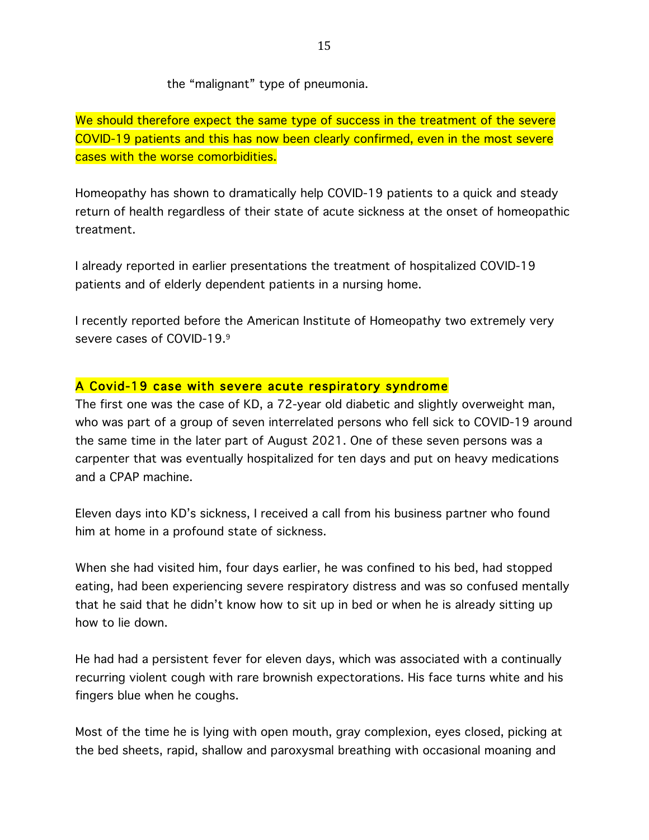the "malignant" type of pneumonia.

We should therefore expect the same type of success in the treatment of the severe COVID-19 patients and this has now been clearly confirmed, even in the most severe cases with the worse comorbidities.

Homeopathy has shown to dramatically help COVID-19 patients to a quick and steady return of health regardless of their state of acute sickness at the onset of homeopathic treatment.

I already reported in earlier presentations the treatment of hospitalized COVID-19 patients and of elderly dependent patients in a nursing home.

I recently reported before the American Institute of Homeopathy two extremely very severe cases of COVID-19.9

#### A Covid-19 case with severe acute respiratory syndrome

The first one was the case of KD, a 72-year old diabetic and slightly overweight man, who was part of a group of seven interrelated persons who fell sick to COVID-19 around the same time in the later part of August 2021. One of these seven persons was a carpenter that was eventually hospitalized for ten days and put on heavy medications and a CPAP machine.

Eleven days into KD's sickness, I received a call from his business partner who found him at home in a profound state of sickness.

When she had visited him, four days earlier, he was confined to his bed, had stopped eating, had been experiencing severe respiratory distress and was so confused mentally that he said that he didn't know how to sit up in bed or when he is already sitting up how to lie down.

He had had a persistent fever for eleven days, which was associated with a continually recurring violent cough with rare brownish expectorations. His face turns white and his fingers blue when he coughs.

Most of the time he is lying with open mouth, gray complexion, eyes closed, picking at the bed sheets, rapid, shallow and paroxysmal breathing with occasional moaning and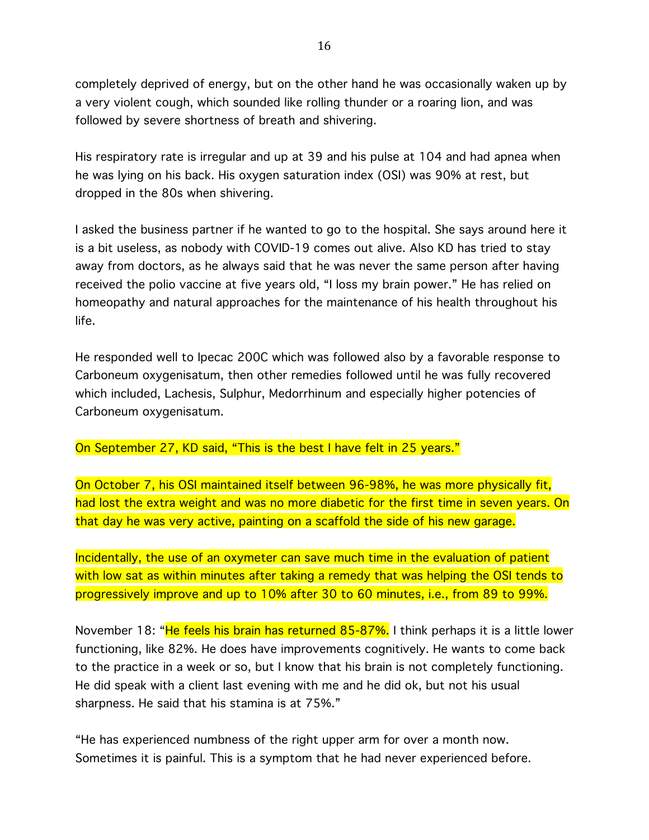completely deprived of energy, but on the other hand he was occasionally waken up by a very violent cough, which sounded like rolling thunder or a roaring lion, and was followed by severe shortness of breath and shivering.

His respiratory rate is irregular and up at 39 and his pulse at 104 and had apnea when he was lying on his back. His oxygen saturation index (OSI) was 90% at rest, but dropped in the 80s when shivering.

I asked the business partner if he wanted to go to the hospital. She says around here it is a bit useless, as nobody with COVID-19 comes out alive. Also KD has tried to stay away from doctors, as he always said that he was never the same person after having received the polio vaccine at five years old, "I loss my brain power." He has relied on homeopathy and natural approaches for the maintenance of his health throughout his life.

He responded well to Ipecac 200C which was followed also by a favorable response to Carboneum oxygenisatum, then other remedies followed until he was fully recovered which included, Lachesis, Sulphur, Medorrhinum and especially higher potencies of Carboneum oxygenisatum.

On September 27, KD said, "This is the best I have felt in 25 years."

On October 7, his OSI maintained itself between 96-98%, he was more physically fit, had lost the extra weight and was no more diabetic for the first time in seven years. On that day he was very active, painting on a scaffold the side of his new garage.

Incidentally, the use of an oxymeter can save much time in the evaluation of patient with low sat as within minutes after taking a remedy that was helping the OSI tends to progressively improve and up to 10% after 30 to 60 minutes, i.e., from 89 to 99%.

November 18: "He feels his brain has returned 85-87%. I think perhaps it is a little lower functioning, like 82%. He does have improvements cognitively. He wants to come back to the practice in a week or so, but I know that his brain is not completely functioning. He did speak with a client last evening with me and he did ok, but not his usual sharpness. He said that his stamina is at 75%."

"He has experienced numbness of the right upper arm for over a month now. Sometimes it is painful. This is a symptom that he had never experienced before.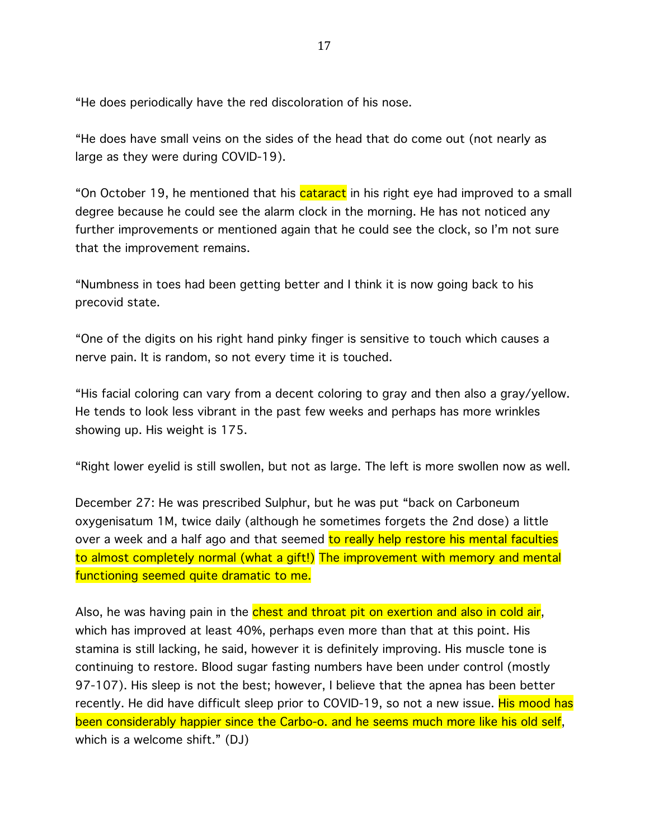"He does periodically have the red discoloration of his nose.

"He does have small veins on the sides of the head that do come out (not nearly as large as they were during COVID-19).

"On October 19, he mentioned that his cataract in his right eye had improved to a small degree because he could see the alarm clock in the morning. He has not noticed any further improvements or mentioned again that he could see the clock, so I'm not sure that the improvement remains.

"Numbness in toes had been getting better and I think it is now going back to his precovid state.

"One of the digits on his right hand pinky finger is sensitive to touch which causes a nerve pain. It is random, so not every time it is touched.

"His facial coloring can vary from a decent coloring to gray and then also a gray/yellow. He tends to look less vibrant in the past few weeks and perhaps has more wrinkles showing up. His weight is 175.

"Right lower eyelid is still swollen, but not as large. The left is more swollen now as well.

December 27: He was prescribed Sulphur, but he was put "back on Carboneum oxygenisatum 1M, twice daily (although he sometimes forgets the 2nd dose) a little over a week and a half ago and that seemed to really help restore his mental faculties to almost completely normal (what a gift!) The improvement with memory and mental functioning seemed quite dramatic to me.

Also, he was having pain in the chest and throat pit on exertion and also in cold air, which has improved at least 40%, perhaps even more than that at this point. His stamina is still lacking, he said, however it is definitely improving. His muscle tone is continuing to restore. Blood sugar fasting numbers have been under control (mostly 97-107). His sleep is not the best; however, I believe that the apnea has been better recently. He did have difficult sleep prior to COVID-19, so not a new issue. His mood has been considerably happier since the Carbo-o. and he seems much more like his old self, which is a welcome shift." (DJ)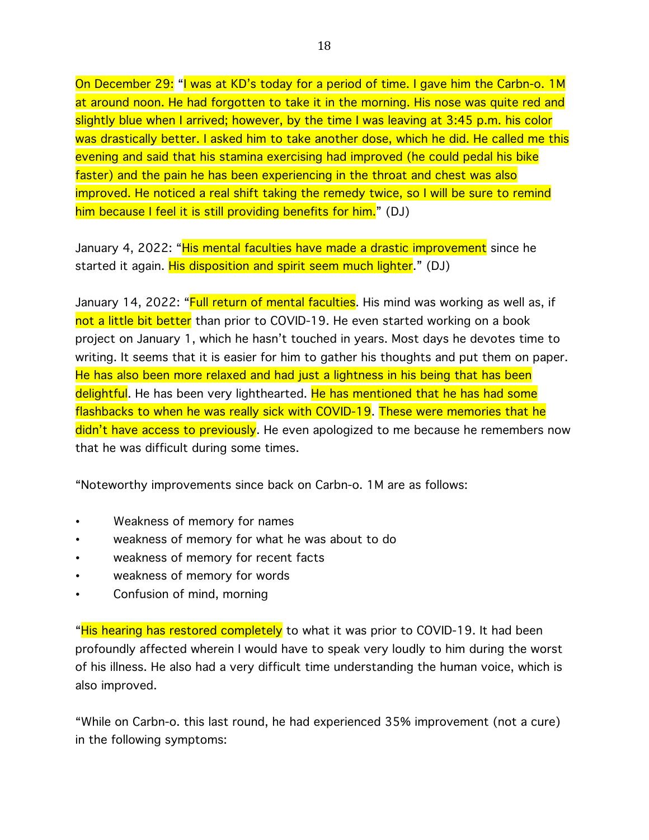On December 29: "I was at KD's today for a period of time. I gave him the Carbn-o. 1M at around noon. He had forgotten to take it in the morning. His nose was quite red and slightly blue when I arrived; however, by the time I was leaving at 3:45 p.m. his color was drastically better. I asked him to take another dose, which he did. He called me this evening and said that his stamina exercising had improved (he could pedal his bike faster) and the pain he has been experiencing in the throat and chest was also improved. He noticed a real shift taking the remedy twice, so I will be sure to remind him because I feel it is still providing benefits for him." (DJ)

January 4, 2022: "His mental faculties have made a drastic improvement since he started it again. His disposition and spirit seem much lighter." (DJ)

January 14, 2022: "Full return of mental faculties. His mind was working as well as, if not a little bit better than prior to COVID-19. He even started working on a book project on January 1, which he hasn't touched in years. Most days he devotes time to writing. It seems that it is easier for him to gather his thoughts and put them on paper. He has also been more relaxed and had just a lightness in his being that has been delightful. He has been very lighthearted. He has mentioned that he has had some flashbacks to when he was really sick with COVID-19. These were memories that he didn't have access to previously. He even apologized to me because he remembers now that he was difficult during some times.

"Noteworthy improvements since back on Carbn-o. 1M are as follows:

- Weakness of memory for names
- weakness of memory for what he was about to do
- weakness of memory for recent facts
- weakness of memory for words
- Confusion of mind, morning

"His hearing has restored completely to what it was prior to COVID-19. It had been profoundly affected wherein I would have to speak very loudly to him during the worst of his illness. He also had a very difficult time understanding the human voice, which is also improved.

"While on Carbn-o. this last round, he had experienced 35% improvement (not a cure) in the following symptoms: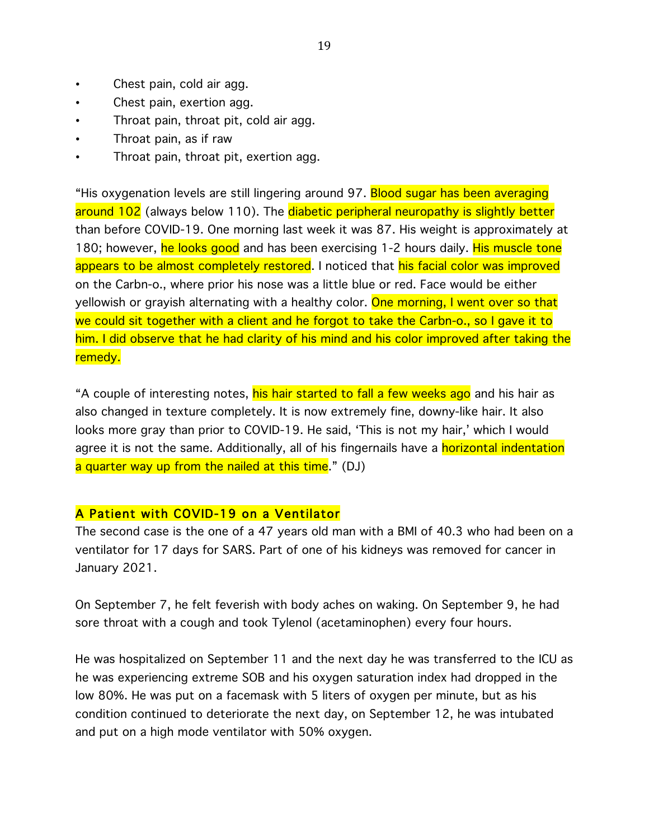- Chest pain, cold air agg.
- Chest pain, exertion agg.
- Throat pain, throat pit, cold air agg.
- Throat pain, as if raw
- Throat pain, throat pit, exertion agg.

"His oxygenation levels are still lingering around 97. Blood sugar has been averaging around 102 (always below 110). The diabetic peripheral neuropathy is slightly better than before COVID-19. One morning last week it was 87. His weight is approximately at 180; however, he looks good and has been exercising 1-2 hours daily. His muscle tone appears to be almost completely restored. I noticed that his facial color was improved on the Carbn-o., where prior his nose was a little blue or red. Face would be either yellowish or grayish alternating with a healthy color. One morning, I went over so that we could sit together with a client and he forgot to take the Carbn-o., so I gave it to him. I did observe that he had clarity of his mind and his color improved after taking the remedy.

"A couple of interesting notes, his hair started to fall a few weeks ago and his hair as also changed in texture completely. It is now extremely fine, downy-like hair. It also looks more gray than prior to COVID-19. He said, 'This is not my hair,' which I would agree it is not the same. Additionally, all of his fingernails have a **horizontal indentation** a quarter way up from the nailed at this time." (DJ)

### A Patient with COVID-19 on a Ventilator

The second case is the one of a 47 years old man with a BMI of 40.3 who had been on a ventilator for 17 days for SARS. Part of one of his kidneys was removed for cancer in January 2021.

On September 7, he felt feverish with body aches on waking. On September 9, he had sore throat with a cough and took Tylenol (acetaminophen) every four hours.

He was hospitalized on September 11 and the next day he was transferred to the ICU as he was experiencing extreme SOB and his oxygen saturation index had dropped in the low 80%. He was put on a facemask with 5 liters of oxygen per minute, but as his condition continued to deteriorate the next day, on September 12, he was intubated and put on a high mode ventilator with 50% oxygen.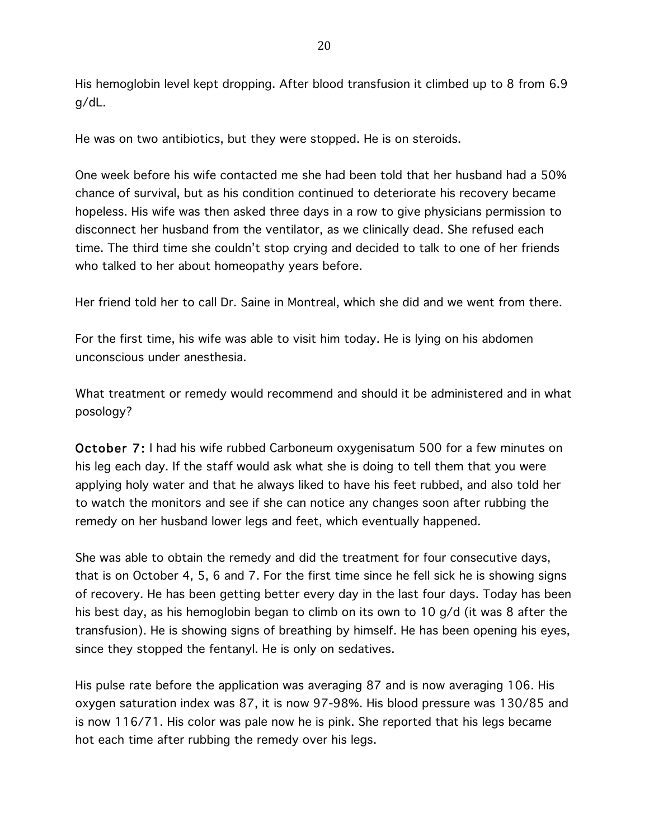His hemoglobin level kept dropping. After blood transfusion it climbed up to 8 from 6.9 g/dL.

He was on two antibiotics, but they were stopped. He is on steroids.

One week before his wife contacted me she had been told that her husband had a 50% chance of survival, but as his condition continued to deteriorate his recovery became hopeless. His wife was then asked three days in a row to give physicians permission to disconnect her husband from the ventilator, as we clinically dead. She refused each time. The third time she couldn't stop crying and decided to talk to one of her friends who talked to her about homeopathy years before.

Her friend told her to call Dr. Saine in Montreal, which she did and we went from there.

For the first time, his wife was able to visit him today. He is lying on his abdomen unconscious under anesthesia.

What treatment or remedy would recommend and should it be administered and in what posology?

October 7: I had his wife rubbed Carboneum oxygenisatum 500 for a few minutes on his leg each day. If the staff would ask what she is doing to tell them that you were applying holy water and that he always liked to have his feet rubbed, and also told her to watch the monitors and see if she can notice any changes soon after rubbing the remedy on her husband lower legs and feet, which eventually happened.

She was able to obtain the remedy and did the treatment for four consecutive days, that is on October 4, 5, 6 and 7. For the first time since he fell sick he is showing signs of recovery. He has been getting better every day in the last four days. Today has been his best day, as his hemoglobin began to climb on its own to 10 g/d (it was 8 after the transfusion). He is showing signs of breathing by himself. He has been opening his eyes, since they stopped the fentanyl. He is only on sedatives.

His pulse rate before the application was averaging 87 and is now averaging 106. His oxygen saturation index was 87, it is now 97-98%. His blood pressure was 130/85 and is now 116/71. His color was pale now he is pink. She reported that his legs became hot each time after rubbing the remedy over his legs.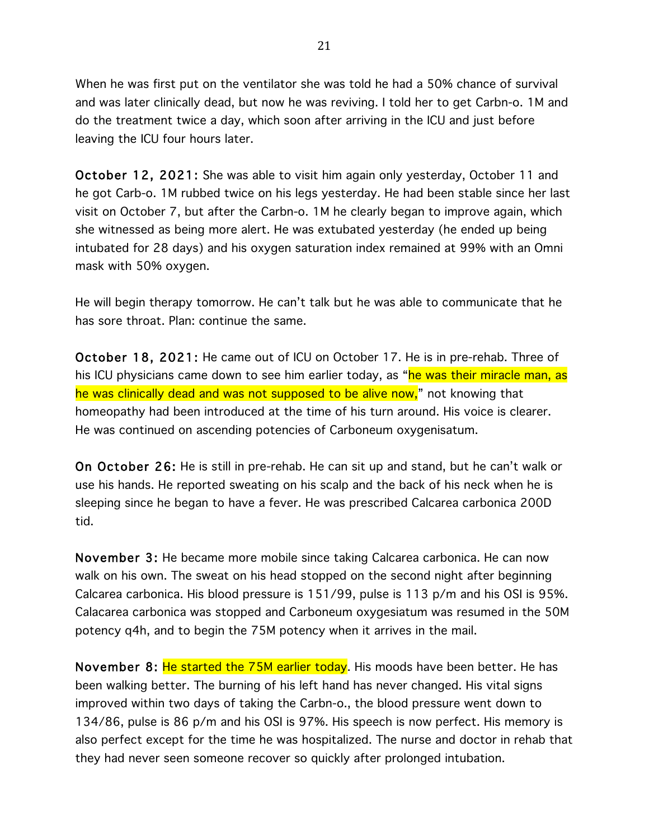When he was first put on the ventilator she was told he had a 50% chance of survival and was later clinically dead, but now he was reviving. I told her to get Carbn-o. 1M and do the treatment twice a day, which soon after arriving in the ICU and just before leaving the ICU four hours later.

October 12, 2021: She was able to visit him again only yesterday, October 11 and he got Carb-o. 1M rubbed twice on his legs yesterday. He had been stable since her last visit on October 7, but after the Carbn-o. 1M he clearly began to improve again, which she witnessed as being more alert. He was extubated yesterday (he ended up being intubated for 28 days) and his oxygen saturation index remained at 99% with an Omni mask with 50% oxygen.

He will begin therapy tomorrow. He can't talk but he was able to communicate that he has sore throat. Plan: continue the same.

October 18, 2021: He came out of ICU on October 17. He is in pre-rehab. Three of his ICU physicians came down to see him earlier today, as "he was their miracle man, as he was clinically dead and was not supposed to be alive now," not knowing that homeopathy had been introduced at the time of his turn around. His voice is clearer. He was continued on ascending potencies of Carboneum oxygenisatum.

On October 26: He is still in pre-rehab. He can sit up and stand, but he can't walk or use his hands. He reported sweating on his scalp and the back of his neck when he is sleeping since he began to have a fever. He was prescribed Calcarea carbonica 200D tid.

November 3: He became more mobile since taking Calcarea carbonica. He can now walk on his own. The sweat on his head stopped on the second night after beginning Calcarea carbonica. His blood pressure is 151/99, pulse is 113 p/m and his OSI is 95%. Calacarea carbonica was stopped and Carboneum oxygesiatum was resumed in the 50M potency q4h, and to begin the 75M potency when it arrives in the mail.

November 8: He started the 75M earlier today. His moods have been better. He has been walking better. The burning of his left hand has never changed. His vital signs improved within two days of taking the Carbn-o., the blood pressure went down to 134/86, pulse is 86 p/m and his OSI is 97%. His speech is now perfect. His memory is also perfect except for the time he was hospitalized. The nurse and doctor in rehab that they had never seen someone recover so quickly after prolonged intubation.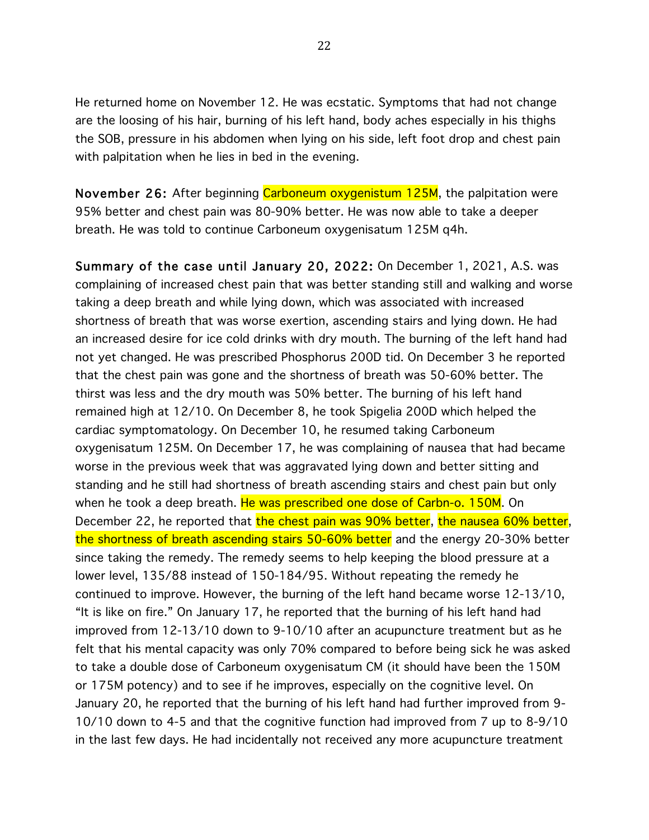He returned home on November 12. He was ecstatic. Symptoms that had not change are the loosing of his hair, burning of his left hand, body aches especially in his thighs the SOB, pressure in his abdomen when lying on his side, left foot drop and chest pain with palpitation when he lies in bed in the evening.

November 26: After beginning Carboneum oxygenistum 125M, the palpitation were 95% better and chest pain was 80-90% better. He was now able to take a deeper breath. He was told to continue Carboneum oxygenisatum 125M q4h.

Summary of the case until January 20, 2022: On December 1, 2021, A.S. was complaining of increased chest pain that was better standing still and walking and worse taking a deep breath and while lying down, which was associated with increased shortness of breath that was worse exertion, ascending stairs and lying down. He had an increased desire for ice cold drinks with dry mouth. The burning of the left hand had not yet changed. He was prescribed Phosphorus 200D tid. On December 3 he reported that the chest pain was gone and the shortness of breath was 50-60% better. The thirst was less and the dry mouth was 50% better. The burning of his left hand remained high at 12/10. On December 8, he took Spigelia 200D which helped the cardiac symptomatology. On December 10, he resumed taking Carboneum oxygenisatum 125M. On December 17, he was complaining of nausea that had became worse in the previous week that was aggravated lying down and better sitting and standing and he still had shortness of breath ascending stairs and chest pain but only when he took a deep breath. He was prescribed one dose of Carbn-o. 150M. On December 22, he reported that the chest pain was 90% better, the nausea 60% better, the shortness of breath ascending stairs 50-60% better and the energy 20-30% better since taking the remedy. The remedy seems to help keeping the blood pressure at a lower level, 135/88 instead of 150-184/95. Without repeating the remedy he continued to improve. However, the burning of the left hand became worse 12-13/10, "It is like on fire." On January 17, he reported that the burning of his left hand had improved from 12-13/10 down to 9-10/10 after an acupuncture treatment but as he felt that his mental capacity was only 70% compared to before being sick he was asked to take a double dose of Carboneum oxygenisatum CM (it should have been the 150M or 175M potency) and to see if he improves, especially on the cognitive level. On January 20, he reported that the burning of his left hand had further improved from 9- 10/10 down to 4-5 and that the cognitive function had improved from 7 up to 8-9/10 in the last few days. He had incidentally not received any more acupuncture treatment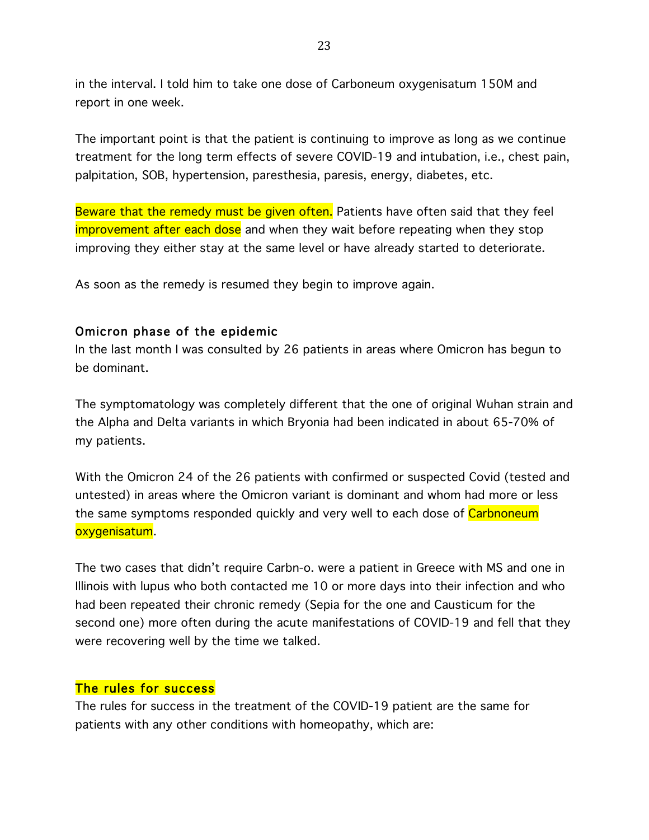in the interval. I told him to take one dose of Carboneum oxygenisatum 150M and report in one week.

The important point is that the patient is continuing to improve as long as we continue treatment for the long term effects of severe COVID-19 and intubation, i.e., chest pain, palpitation, SOB, hypertension, paresthesia, paresis, energy, diabetes, etc.

Beware that the remedy must be given often. Patients have often said that they feel improvement after each dose and when they wait before repeating when they stop improving they either stay at the same level or have already started to deteriorate.

As soon as the remedy is resumed they begin to improve again.

# Omicron phase of the epidemic

In the last month I was consulted by 26 patients in areas where Omicron has begun to be dominant.

The symptomatology was completely different that the one of original Wuhan strain and the Alpha and Delta variants in which Bryonia had been indicated in about 65-70% of my patients.

With the Omicron 24 of the 26 patients with confirmed or suspected Covid (tested and untested) in areas where the Omicron variant is dominant and whom had more or less the same symptoms responded quickly and very well to each dose of Carbnoneum oxygenisatum.

The two cases that didn't require Carbn-o. were a patient in Greece with MS and one in Illinois with lupus who both contacted me 10 or more days into their infection and who had been repeated their chronic remedy (Sepia for the one and Causticum for the second one) more often during the acute manifestations of COVID-19 and fell that they were recovering well by the time we talked.

### The rules for success

The rules for success in the treatment of the COVID-19 patient are the same for patients with any other conditions with homeopathy, which are: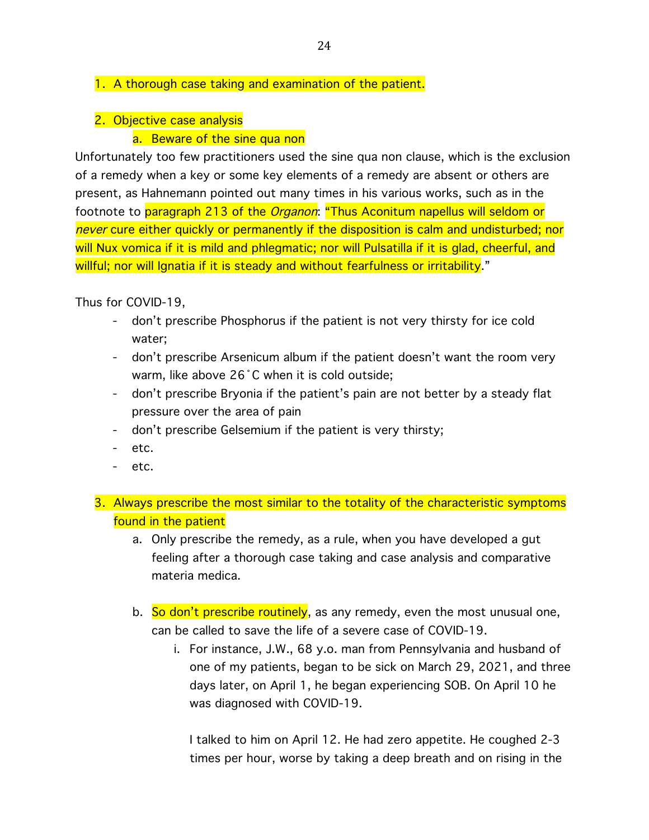### 1. A thorough case taking and examination of the patient.

2. Objective case analysis

### a. Beware of the sine qua non

Unfortunately too few practitioners used the sine qua non clause, which is the exclusion of a remedy when a key or some key elements of a remedy are absent or others are present, as Hahnemann pointed out many times in his various works, such as in the footnote to paragraph 213 of the *Organon*: "Thus Aconitum napellus will seldom or never cure either quickly or permanently if the disposition is calm and undisturbed; nor will Nux vomica if it is mild and phlegmatic; nor will Pulsatilla if it is glad, cheerful, and willful; nor will Ignatia if it is steady and without fearfulness or irritability."

Thus for COVID-19,

- don't prescribe Phosphorus if the patient is not very thirsty for ice cold water;
- don't prescribe Arsenicum album if the patient doesn't want the room very warm, like above 26˚C when it is cold outside;
- don't prescribe Bryonia if the patient's pain are not better by a steady flat pressure over the area of pain
- don't prescribe Gelsemium if the patient is very thirsty;
- etc.
- etc.
- 3. Always prescribe the most similar to the totality of the characteristic symptoms found in the patient
	- a. Only prescribe the remedy, as a rule, when you have developed a gut feeling after a thorough case taking and case analysis and comparative materia medica.
	- b. So don't prescribe routinely, as any remedy, even the most unusual one, can be called to save the life of a severe case of COVID-19.
		- i. For instance, J.W., 68 y.o. man from Pennsylvania and husband of one of my patients, began to be sick on March 29, 2021, and three days later, on April 1, he began experiencing SOB. On April 10 he was diagnosed with COVID-19.

I talked to him on April 12. He had zero appetite. He coughed 2-3 times per hour, worse by taking a deep breath and on rising in the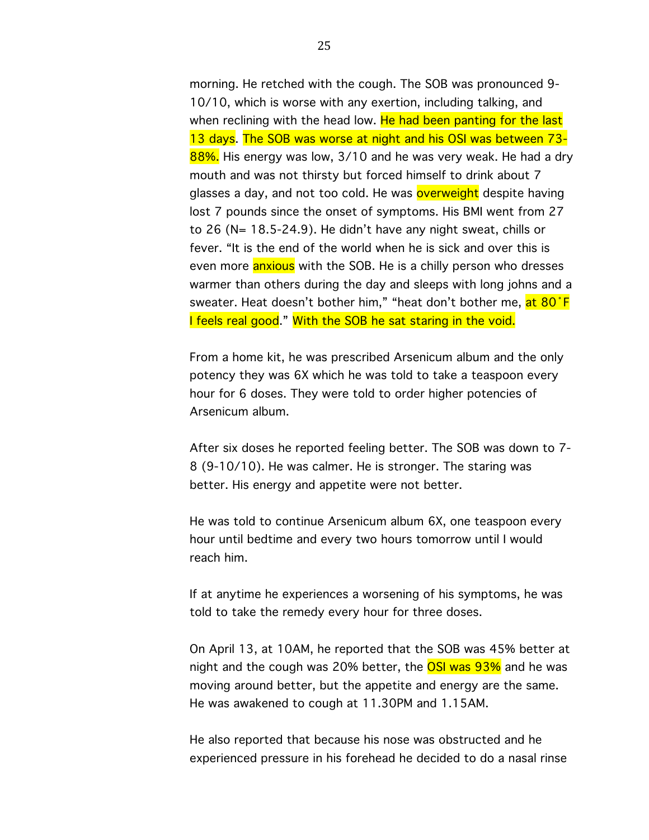morning. He retched with the cough. The SOB was pronounced 9- 10/10, which is worse with any exertion, including talking, and when reclining with the head low. He had been panting for the last 13 days. The SOB was worse at night and his OSI was between 73- 88%. His energy was low, 3/10 and he was very weak. He had a dry mouth and was not thirsty but forced himself to drink about 7 glasses a day, and not too cold. He was **overweight** despite having lost 7 pounds since the onset of symptoms. His BMI went from 27 to 26 (N= 18.5-24.9). He didn't have any night sweat, chills or fever. "It is the end of the world when he is sick and over this is even more **anxious** with the SOB. He is a chilly person who dresses warmer than others during the day and sleeps with long johns and a sweater. Heat doesn't bother him," "heat don't bother me, at 80 F I feels real good." With the SOB he sat staring in the void.

From a home kit, he was prescribed Arsenicum album and the only potency they was 6X which he was told to take a teaspoon every hour for 6 doses. They were told to order higher potencies of Arsenicum album.

After six doses he reported feeling better. The SOB was down to 7- 8 (9-10/10). He was calmer. He is stronger. The staring was better. His energy and appetite were not better.

He was told to continue Arsenicum album 6X, one teaspoon every hour until bedtime and every two hours tomorrow until I would reach him.

If at anytime he experiences a worsening of his symptoms, he was told to take the remedy every hour for three doses.

On April 13, at 10AM, he reported that the SOB was 45% better at night and the cough was 20% better, the **OSI was 93%** and he was moving around better, but the appetite and energy are the same. He was awakened to cough at 11.30PM and 1.15AM.

He also reported that because his nose was obstructed and he experienced pressure in his forehead he decided to do a nasal rinse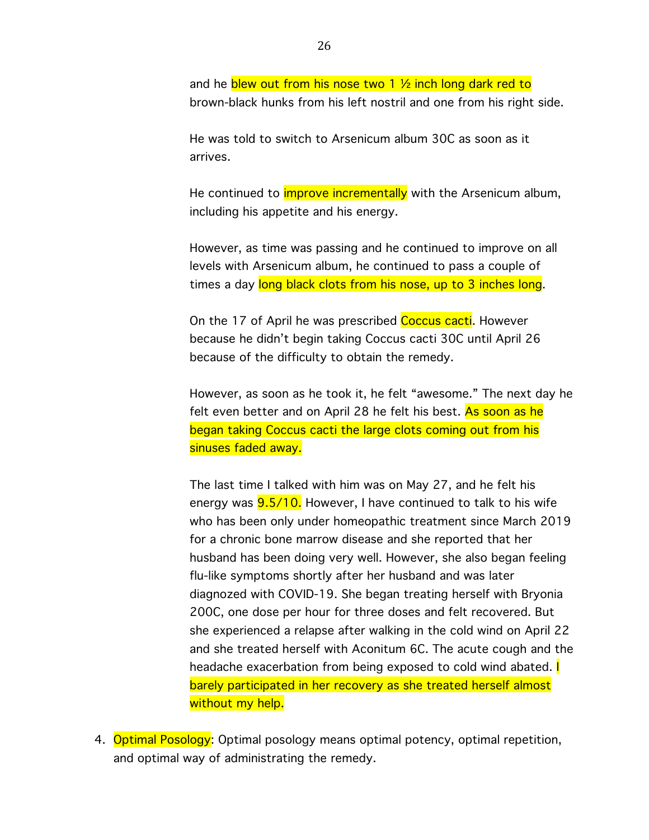and he blew out from his nose two 1  $\frac{1}{2}$  inch long dark red to brown-black hunks from his left nostril and one from his right side.

He was told to switch to Arsenicum album 30C as soon as it arrives.

He continued to *improve incrementally* with the Arsenicum album, including his appetite and his energy.

However, as time was passing and he continued to improve on all levels with Arsenicum album, he continued to pass a couple of times a day long black clots from his nose, up to 3 inches long.

On the 17 of April he was prescribed Coccus cacti. However because he didn't begin taking Coccus cacti 30C until April 26 because of the difficulty to obtain the remedy.

However, as soon as he took it, he felt "awesome." The next day he felt even better and on April 28 he felt his best. As soon as he began taking Coccus cacti the large clots coming out from his sinuses faded away.

The last time I talked with him was on May 27, and he felt his energy was **9.5/10.** However, I have continued to talk to his wife who has been only under homeopathic treatment since March 2019 for a chronic bone marrow disease and she reported that her husband has been doing very well. However, she also began feeling flu-like symptoms shortly after her husband and was later diagnozed with COVID-19. She began treating herself with Bryonia 200C, one dose per hour for three doses and felt recovered. But she experienced a relapse after walking in the cold wind on April 22 and she treated herself with Aconitum 6C. The acute cough and the headache exacerbation from being exposed to cold wind abated. **I** barely participated in her recovery as she treated herself almost without my help.

4. Optimal Posology: Optimal posology means optimal potency, optimal repetition, and optimal way of administrating the remedy.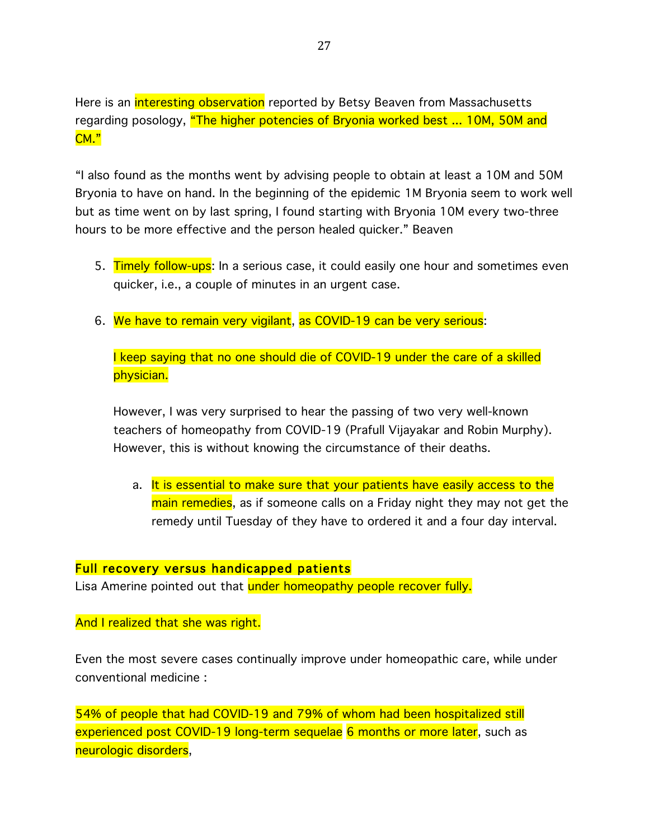Here is an interesting observation reported by Betsy Beaven from Massachusetts regarding posology, "The higher potencies of Bryonia worked best ... 10M, 50M and CM."

"I also found as the months went by advising people to obtain at least a 10M and 50M Bryonia to have on hand. In the beginning of the epidemic 1M Bryonia seem to work well but as time went on by last spring, I found starting with Bryonia 10M every two-three hours to be more effective and the person healed quicker." Beaven

- 5. Timely follow-ups: In a serious case, it could easily one hour and sometimes even quicker, i.e., a couple of minutes in an urgent case.
- 6. We have to remain very vigilant, as COVID-19 can be very serious:

I keep saying that no one should die of COVID-19 under the care of a skilled physician.

However, I was very surprised to hear the passing of two very well-known teachers of homeopathy from COVID-19 (Prafull Vijayakar and Robin Murphy). However, this is without knowing the circumstance of their deaths.

a. It is essential to make sure that your patients have easily access to the main remedies, as if someone calls on a Friday night they may not get the remedy until Tuesday of they have to ordered it and a four day interval.

#### Full recovery versus handicapped patients

Lisa Amerine pointed out that under homeopathy people recover fully.

#### And I realized that she was right.

Even the most severe cases continually improve under homeopathic care, while under conventional medicine :

54% of people that had COVID-19 and 79% of whom had been hospitalized still experienced post COVID-19 long-term sequelae 6 months or more later, such as neurologic disorders,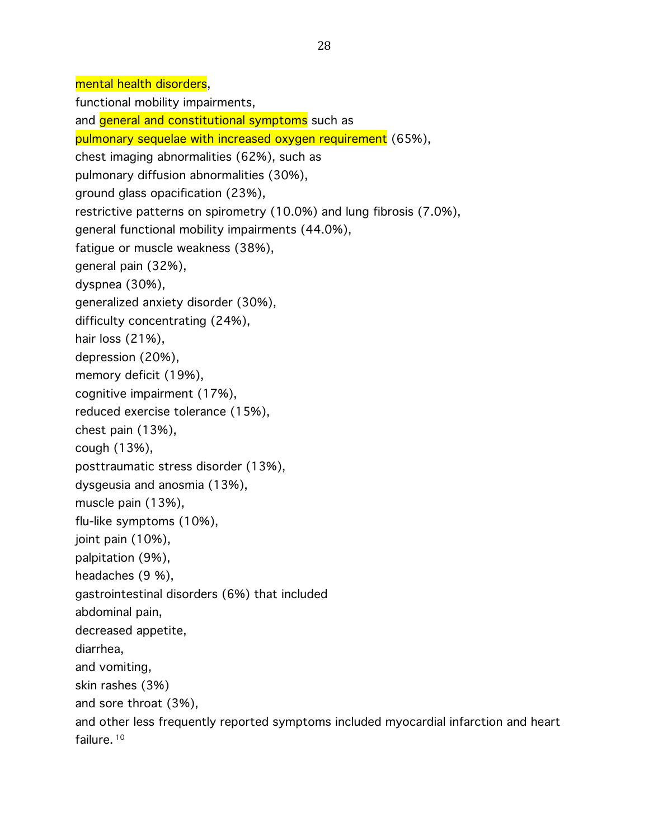mental health disorders,

functional mobility impairments,

and general and constitutional symptoms such as

pulmonary sequelae with increased oxygen requirement (65%),

chest imaging abnormalities (62%), such as

pulmonary diffusion abnormalities (30%),

ground glass opacification (23%),

restrictive patterns on spirometry (10.0%) and lung fibrosis (7.0%),

general functional mobility impairments (44.0%),

fatigue or muscle weakness (38%),

general pain (32%),

dyspnea (30%),

generalized anxiety disorder (30%),

difficulty concentrating (24%),

hair loss (21%),

depression (20%),

memory deficit (19%),

cognitive impairment (17%),

reduced exercise tolerance (15%),

chest pain (13%),

cough (13%),

posttraumatic stress disorder (13%),

dysgeusia and anosmia (13%),

muscle pain (13%),

flu-like symptoms (10%),

joint pain (10%),

palpitation (9%),

headaches (9 %),

gastrointestinal disorders (6%) that included

abdominal pain,

decreased appetite,

diarrhea,

and vomiting,

skin rashes (3%)

and sore throat (3%),

and other less frequently reported symptoms included myocardial infarction and heart failure. <sup>10</sup>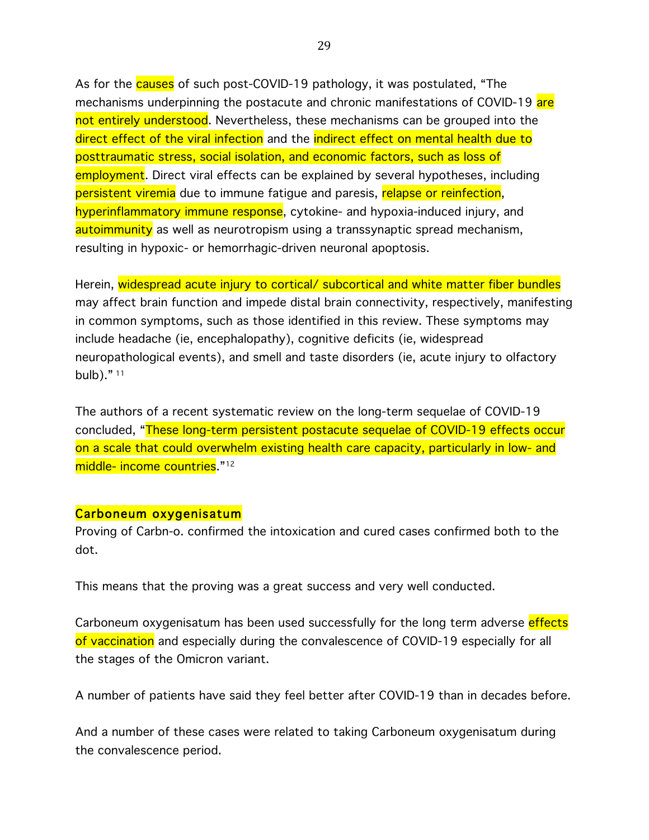As for the **causes** of such post-COVID-19 pathology, it was postulated, "The mechanisms underpinning the postacute and chronic manifestations of COVID-19 are not entirely understood. Nevertheless, these mechanisms can be grouped into the direct effect of the viral infection and the indirect effect on mental health due to posttraumatic stress, social isolation, and economic factors, such as loss of employment. Direct viral effects can be explained by several hypotheses, including persistent viremia due to immune fatigue and paresis, relapse or reinfection, hyperinflammatory immune response, cytokine- and hypoxia-induced injury, and autoimmunity as well as neurotropism using a transsynaptic spread mechanism, resulting in hypoxic- or hemorrhagic-driven neuronal apoptosis.

Herein, widespread acute injury to cortical/ subcortical and white matter fiber bundles may affect brain function and impede distal brain connectivity, respectively, manifesting in common symptoms, such as those identified in this review. These symptoms may include headache (ie, encephalopathy), cognitive deficits (ie, widespread neuropathological events), and smell and taste disorders (ie, acute injury to olfactory bulb)." <sup>11</sup>

The authors of a recent systematic review on the long-term sequelae of COVID-19 concluded, "These long-term persistent postacute sequelae of COVID-19 effects occur on a scale that could overwhelm existing health care capacity, particularly in low- and middle- income countries."<sup>12</sup>

#### Carboneum oxygenisatum

Proving of Carbn-o. confirmed the intoxication and cured cases confirmed both to the dot.

This means that the proving was a great success and very well conducted.

Carboneum oxygenisatum has been used successfully for the long term adverse effects of vaccination and especially during the convalescence of COVID-19 especially for all the stages of the Omicron variant.

A number of patients have said they feel better after COVID-19 than in decades before.

And a number of these cases were related to taking Carboneum oxygenisatum during the convalescence period.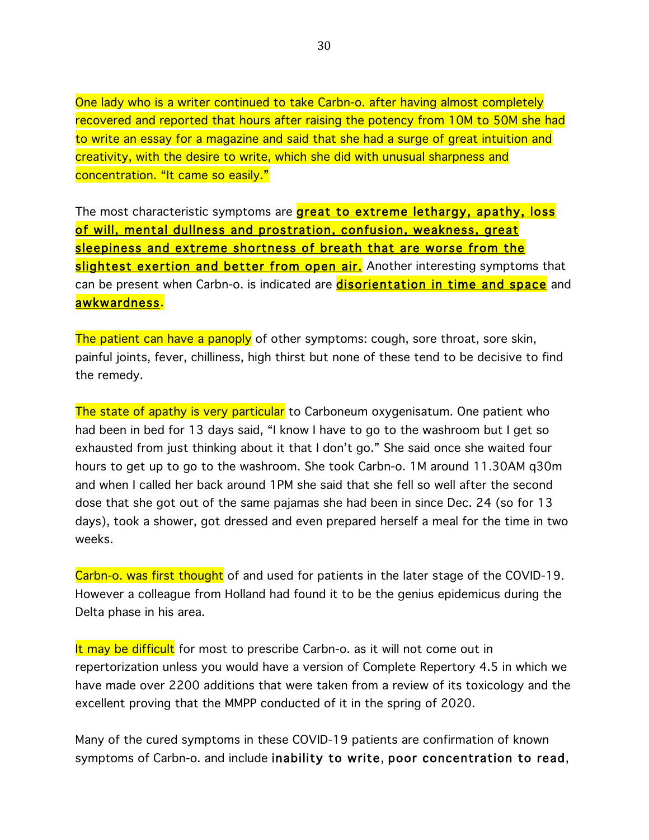One lady who is a writer continued to take Carbn-o. after having almost completely recovered and reported that hours after raising the potency from 10M to 50M she had to write an essay for a magazine and said that she had a surge of great intuition and creativity, with the desire to write, which she did with unusual sharpness and concentration. "It came so easily."

The most characteristic symptoms are **great to extreme lethargy, apathy, loss** of will, mental dullness and prostration, confusion, weakness, great sleepiness and extreme shortness of breath that are worse from the slightest exertion and better from open air.</mark> Another interesting symptoms that can be present when Carbn-o. is indicated are **disorientation in time and space** and awkwardness.

The patient can have a panoply of other symptoms: cough, sore throat, sore skin, painful joints, fever, chilliness, high thirst but none of these tend to be decisive to find the remedy.

The state of apathy is very particular to Carboneum oxygenisatum. One patient who had been in bed for 13 days said, "I know I have to go to the washroom but I get so exhausted from just thinking about it that I don't go." She said once she waited four hours to get up to go to the washroom. She took Carbn-o. 1M around 11.30AM q30m and when I called her back around 1PM she said that she fell so well after the second dose that she got out of the same pajamas she had been in since Dec. 24 (so for 13 days), took a shower, got dressed and even prepared herself a meal for the time in two weeks.

Carbn-o. was first thought of and used for patients in the later stage of the COVID-19. However a colleague from Holland had found it to be the genius epidemicus during the Delta phase in his area.

It may be difficult for most to prescribe Carbn-o. as it will not come out in repertorization unless you would have a version of Complete Repertory 4.5 in which we have made over 2200 additions that were taken from a review of its toxicology and the excellent proving that the MMPP conducted of it in the spring of 2020.

Many of the cured symptoms in these COVID-19 patients are confirmation of known symptoms of Carbn-o. and include inability to write, poor concentration to read,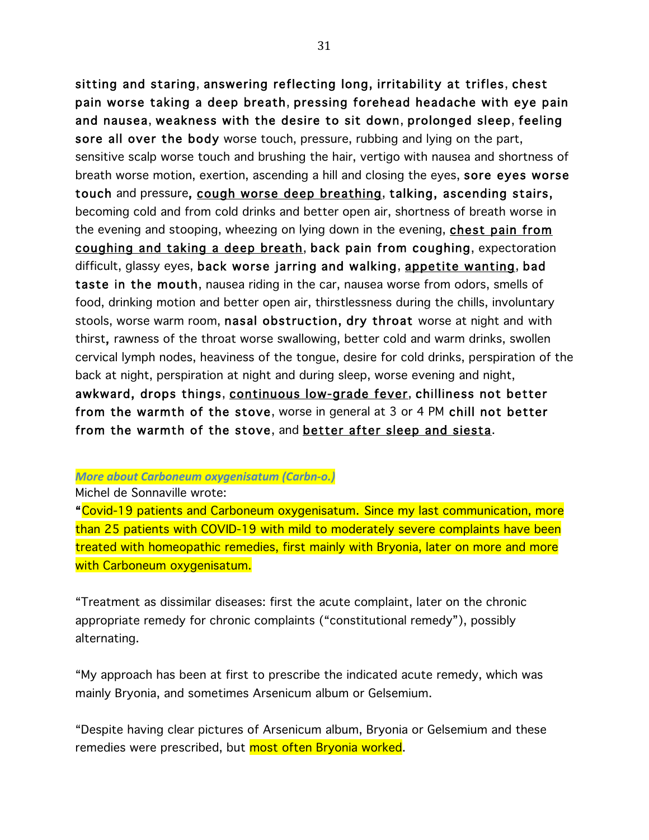sitting and staring, answering reflecting long, irritability at trifles, chest pain worse taking a deep breath, pressing forehead headache with eye pain and nausea, weakness with the desire to sit down, prolonged sleep, feeling sore all over the body worse touch, pressure, rubbing and lying on the part, sensitive scalp worse touch and brushing the hair, vertigo with nausea and shortness of breath worse motion, exertion, ascending a hill and closing the eyes, sore eyes worse touch and pressure, cough worse deep breathing, talking, ascending stairs, becoming cold and from cold drinks and better open air, shortness of breath worse in the evening and stooping, wheezing on lying down in the evening, chest pain from coughing and taking a deep breath, back pain from coughing, expectoration difficult, glassy eyes, back worse jarring and walking, appetite wanting, bad taste in the mouth, nausea riding in the car, nausea worse from odors, smells of food, drinking motion and better open air, thirstlessness during the chills, involuntary stools, worse warm room, nasal obstruction, dry throat worse at night and with thirst, rawness of the throat worse swallowing, better cold and warm drinks, swollen cervical lymph nodes, heaviness of the tongue, desire for cold drinks, perspiration of the back at night, perspiration at night and during sleep, worse evening and night, awkward, drops things, continuous low-grade fever, chilliness not better from the warmth of the stove, worse in general at 3 or 4 PM chill not better from the warmth of the stove, and better after sleep and siesta.

#### **More about Carboneum oxygenisatum (Carbn-o.)**

Michel de Sonnaville wrote:

"Covid-19 patients and Carboneum oxygenisatum. Since my last communication, more than 25 patients with COVID-19 with mild to moderately severe complaints have been treated with homeopathic remedies, first mainly with Bryonia, later on more and more with Carboneum oxygenisatum.

"Treatment as dissimilar diseases: first the acute complaint, later on the chronic appropriate remedy for chronic complaints ("constitutional remedy"), possibly alternating.

"My approach has been at first to prescribe the indicated acute remedy, which was mainly Bryonia, and sometimes Arsenicum album or Gelsemium.

"Despite having clear pictures of Arsenicum album, Bryonia or Gelsemium and these remedies were prescribed, but most often Bryonia worked.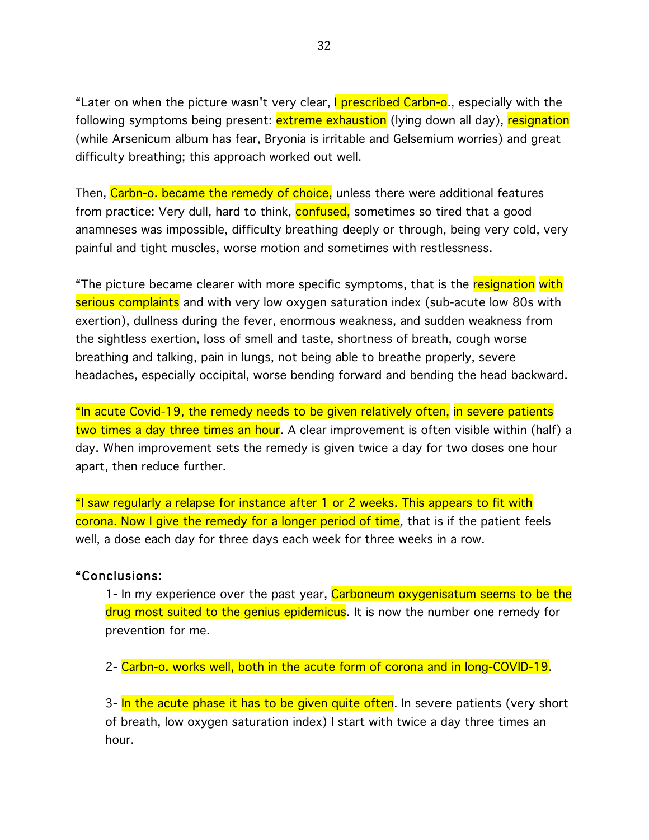"Later on when the picture wasn't very clear, **I prescribed Carbn-o**., especially with the following symptoms being present: <mark>extreme exhaustion</mark> (lying down all day), resignation (while Arsenicum album has fear, Bryonia is irritable and Gelsemium worries) and great difficulty breathing; this approach worked out well.

Then, Carbn-o. became the remedy of choice, unless there were additional features from practice: Very dull, hard to think, **confused**, sometimes so tired that a good anamneses was impossible, difficulty breathing deeply or through, being very cold, very painful and tight muscles, worse motion and sometimes with restlessness.

"The picture became clearer with more specific symptoms, that is the resignation with serious complaints and with very low oxygen saturation index (sub-acute low 80s with exertion), dullness during the fever, enormous weakness, and sudden weakness from the sightless exertion, loss of smell and taste, shortness of breath, cough worse breathing and talking, pain in lungs, not being able to breathe properly, severe headaches, especially occipital, worse bending forward and bending the head backward.

"In acute Covid-19, the remedy needs to be given relatively often, in severe patients two times a day three times an hour. A clear improvement is often visible within (half) a day. When improvement sets the remedy is given twice a day for two doses one hour apart, then reduce further.

"I saw regularly a relapse for instance after 1 or 2 weeks. This appears to fit with corona. Now I give the remedy for a longer period of time, that is if the patient feels well, a dose each day for three days each week for three weeks in a row.

### "Conclusions:

1- In my experience over the past year, Carboneum oxygenisatum seems to be the drug most suited to the genius epidemicus. It is now the number one remedy for prevention for me.

2- Carbn-o. works well, both in the acute form of corona and in long-COVID-19.

3- In the acute phase it has to be given quite often. In severe patients (very short of breath, low oxygen saturation index) I start with twice a day three times an hour.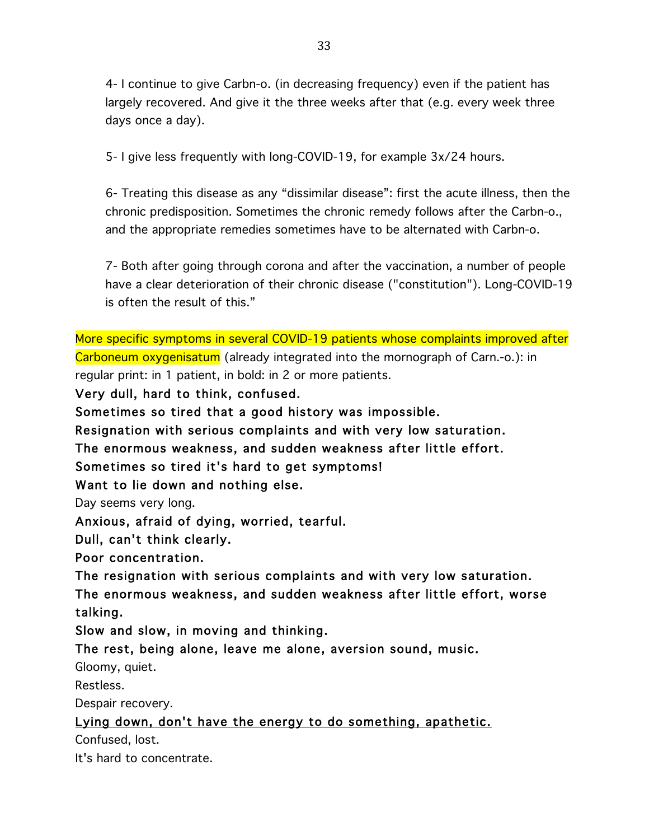4- I continue to give Carbn-o. (in decreasing frequency) even if the patient has largely recovered. And give it the three weeks after that (e.g. every week three days once a day).

5- I give less frequently with long-COVID-19, for example 3x/24 hours.

6- Treating this disease as any "dissimilar disease": first the acute illness, then the chronic predisposition. Sometimes the chronic remedy follows after the Carbn-o., and the appropriate remedies sometimes have to be alternated with Carbn-o.

7- Both after going through corona and after the vaccination, a number of people have a clear deterioration of their chronic disease ("constitution"). Long-COVID-19 is often the result of this."

More specific symptoms in several COVID-19 patients whose complaints improved after Carboneum oxygenisatum (already integrated into the mornograph of Carn.-o.): in regular print: in 1 patient, in bold: in 2 or more patients.

Very dull, hard to think, confused.

Sometimes so tired that a good history was impossible.

Resignation with serious complaints and with very low saturation.

The enormous weakness, and sudden weakness after little effort.

Sometimes so tired it's hard to get symptoms!

Want to lie down and nothing else.

Day seems very long.

Anxious, afraid of dying, worried, tearful.

Dull, can't think clearly.

Poor concentration.

The resignation with serious complaints and with very low saturation. The enormous weakness, and sudden weakness after little effort, worse talking.

Slow and slow, in moving and thinking.

The rest, being alone, leave me alone, aversion sound, music.

Gloomy, quiet.

Restless.

Despair recovery.

Lying down, don't have the energy to do something, apathetic.

Confused, lost.

It's hard to concentrate.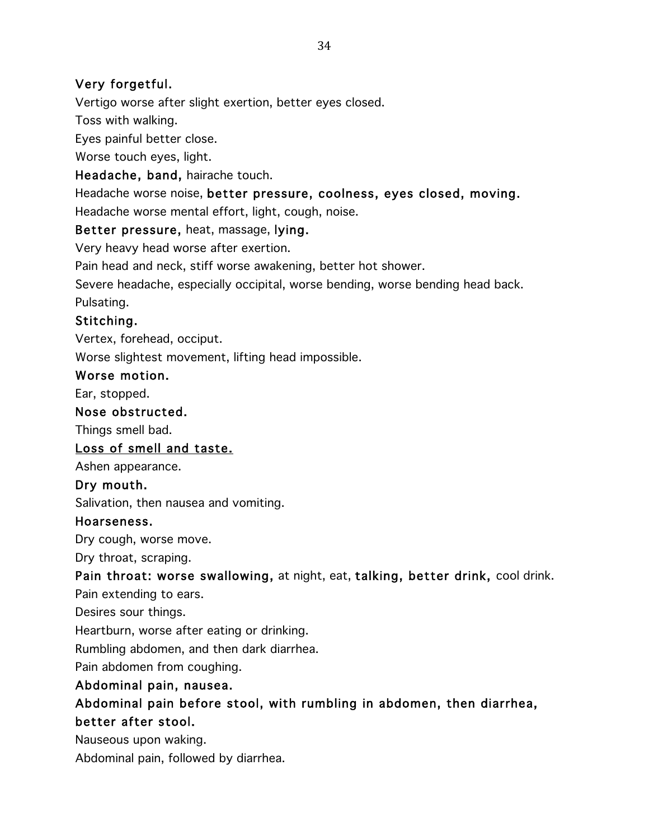# Very forgetful.

Vertigo worse after slight exertion, better eyes closed.

Toss with walking.

Eyes painful better close.

Worse touch eyes, light.

Headache, band, hairache touch.

Headache worse noise, better pressure, coolness, eyes closed, moving. Headache worse mental effort, light, cough, noise.

# Better pressure, heat, massage, lying.

Very heavy head worse after exertion.

Pain head and neck, stiff worse awakening, better hot shower.

Severe headache, especially occipital, worse bending, worse bending head back. Pulsating.

# Stitching.

Vertex, forehead, occiput.

Worse slightest movement, lifting head impossible.

### Worse motion.

Ear, stopped.

# Nose obstructed.

Things smell bad.

# Loss of smell and taste.

Ashen appearance.

# Dry mouth.

Salivation, then nausea and vomiting.

### Hoarseness.

Dry cough, worse move.

Dry throat, scraping.

# Pain throat: worse swallowing, at night, eat, talking, better drink, cool drink.

Pain extending to ears.

Desires sour things.

Heartburn, worse after eating or drinking.

Rumbling abdomen, and then dark diarrhea.

Pain abdomen from coughing.

# Abdominal pain, nausea.

# Abdominal pain before stool, with rumbling in abdomen, then diarrhea, better after stool.

Nauseous upon waking.

Abdominal pain, followed by diarrhea.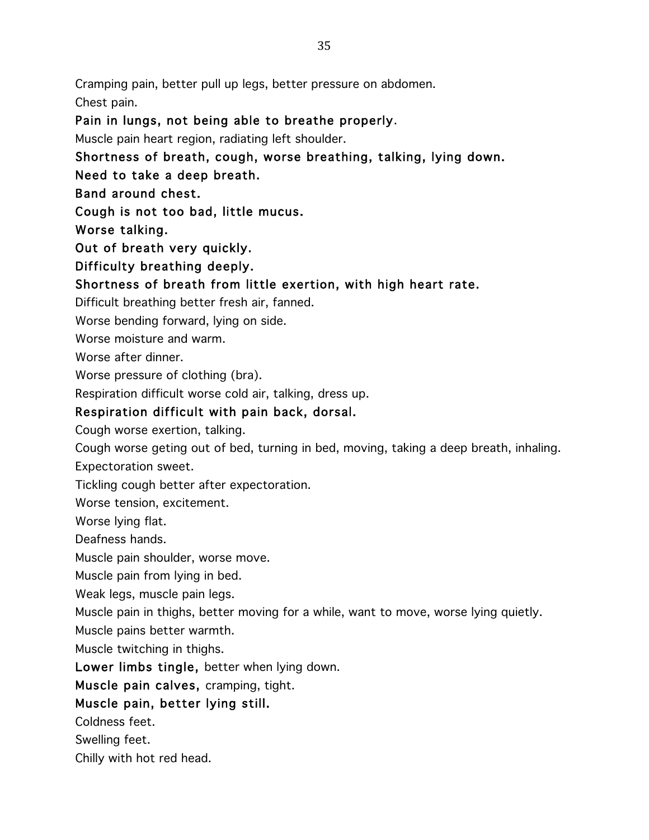Cramping pain, better pull up legs, better pressure on abdomen.

Chest pain.

Pain in lungs, not being able to breathe properly.

Muscle pain heart region, radiating left shoulder.

Shortness of breath, cough, worse breathing, talking, lying down.

Need to take a deep breath.

Band around chest.

Cough is not too bad, little mucus.

Worse talking.

Out of breath very quickly.

Difficulty breathing deeply.

Shortness of breath from little exertion, with high heart rate.

Difficult breathing better fresh air, fanned.

Worse bending forward, lying on side.

Worse moisture and warm.

Worse after dinner.

Worse pressure of clothing (bra).

Respiration difficult worse cold air, talking, dress up.

# Respiration difficult with pain back, dorsal.

Cough worse exertion, talking.

Cough worse geting out of bed, turning in bed, moving, taking a deep breath, inhaling. Expectoration sweet.

Tickling cough better after expectoration.

Worse tension, excitement.

Worse lying flat.

Deafness hands.

Muscle pain shoulder, worse move.

Muscle pain from lying in bed.

Weak legs, muscle pain legs.

Muscle pain in thighs, better moving for a while, want to move, worse lying quietly.

Muscle pains better warmth.

Muscle twitching in thighs.

Lower limbs tingle, better when lying down.

Muscle pain calves, cramping, tight.

Muscle pain, better lying still.

Coldness feet.

Swelling feet.

Chilly with hot red head.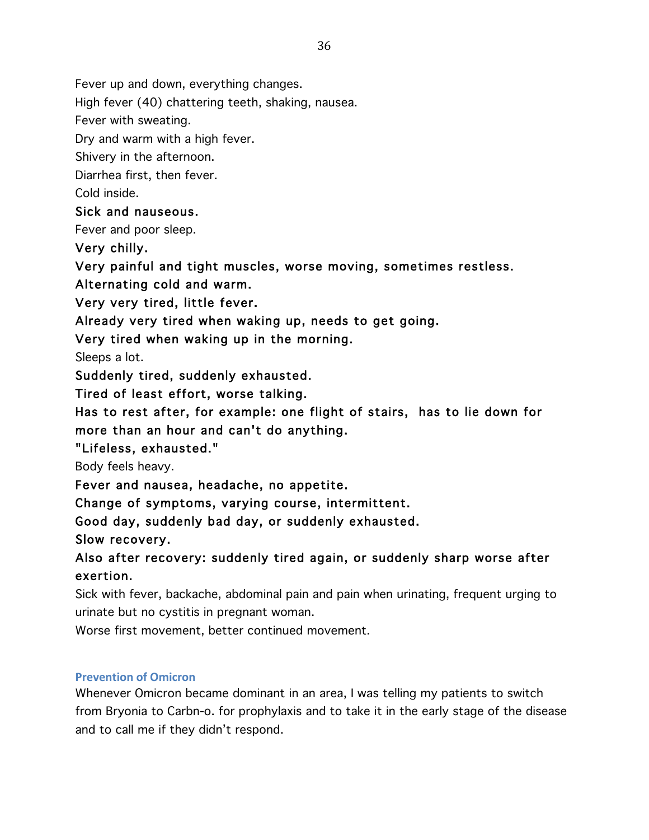Fever up and down, everything changes.

High fever (40) chattering teeth, shaking, nausea.

Fever with sweating.

Dry and warm with a high fever.

Shivery in the afternoon.

Diarrhea first, then fever.

Cold inside.

# Sick and nauseous.

Fever and poor sleep.

Very chilly.

Very painful and tight muscles, worse moving, sometimes restless.

Alternating cold and warm.

Very very tired, little fever.

Already very tired when waking up, needs to get going.

Very tired when waking up in the morning.

Sleeps a lot.

Suddenly tired, suddenly exhausted.

Tired of least effort, worse talking.

Has to rest after, for example: one flight of stairs, has to lie down for more than an hour and can't do anything.

# "Lifeless, exhausted."

Body feels heavy.

Fever and nausea, headache, no appetite.

Change of symptoms, varying course, intermittent.

Good day, suddenly bad day, or suddenly exhausted.

Slow recovery.

Also after recovery: suddenly tired again, or suddenly sharp worse after exertion.

Sick with fever, backache, abdominal pain and pain when urinating, frequent urging to urinate but no cystitis in pregnant woman.

Worse first movement, better continued movement.

### **Prevention of Omicron**

Whenever Omicron became dominant in an area, I was telling my patients to switch from Bryonia to Carbn-o. for prophylaxis and to take it in the early stage of the disease and to call me if they didn't respond.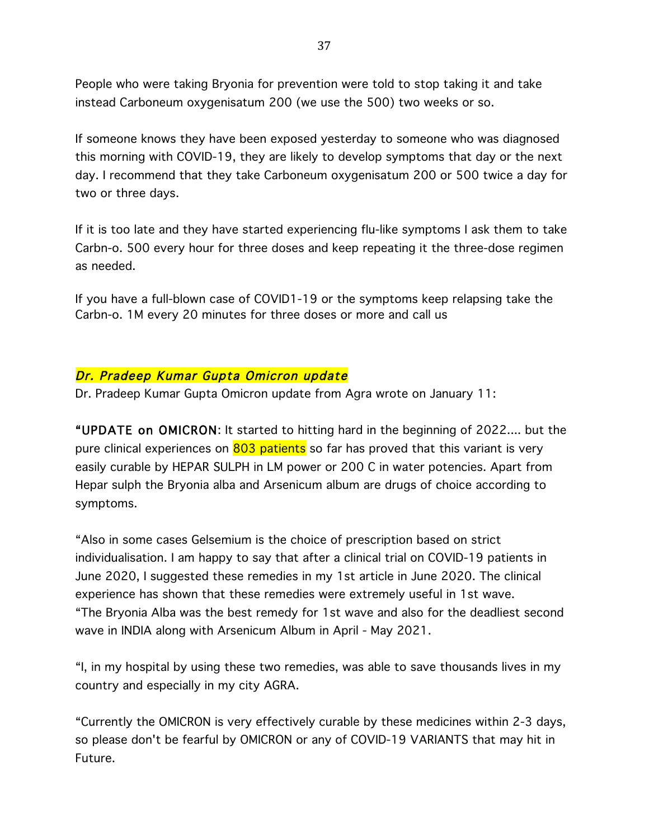People who were taking Bryonia for prevention were told to stop taking it and take instead Carboneum oxygenisatum 200 (we use the 500) two weeks or so.

If someone knows they have been exposed yesterday to someone who was diagnosed this morning with COVID-19, they are likely to develop symptoms that day or the next day. I recommend that they take Carboneum oxygenisatum 200 or 500 twice a day for two or three days.

If it is too late and they have started experiencing flu-like symptoms I ask them to take Carbn-o. 500 every hour for three doses and keep repeating it the three-dose regimen as needed.

If you have a full-blown case of COVID1-19 or the symptoms keep relapsing take the Carbn-o. 1M every 20 minutes for three doses or more and call us

# Dr. Pradeep Kumar Gupta Omicron update

Dr. Pradeep Kumar Gupta Omicron update from Agra wrote on January 11:

"UPDATE on OMICRON: It started to hitting hard in the beginning of 2022.... but the pure clinical experiences on 803 patients so far has proved that this variant is very easily curable by HEPAR SULPH in LM power or 200 C in water potencies. Apart from Hepar sulph the Bryonia alba and Arsenicum album are drugs of choice according to symptoms.

"Also in some cases Gelsemium is the choice of prescription based on strict individualisation. I am happy to say that after a clinical trial on COVID-19 patients in June 2020, I suggested these remedies in my 1st article in June 2020. The clinical experience has shown that these remedies were extremely useful in 1st wave. "The Bryonia Alba was the best remedy for 1st wave and also for the deadliest second wave in INDIA along with Arsenicum Album in April - May 2021.

"I, in my hospital by using these two remedies, was able to save thousands lives in my country and especially in my city AGRA.

"Currently the OMICRON is very effectively curable by these medicines within 2-3 days, so please don't be fearful by OMICRON or any of COVID-19 VARIANTS that may hit in Future.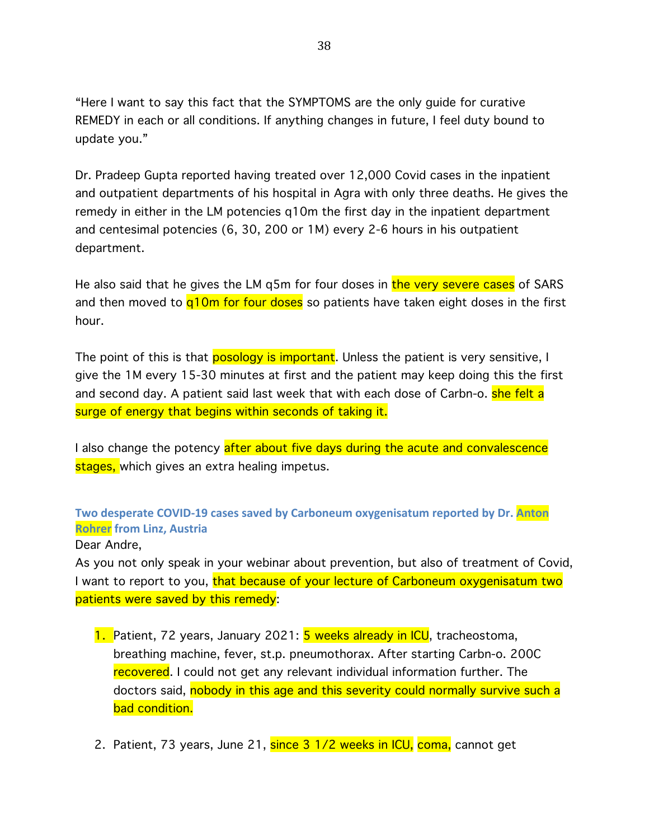"Here I want to say this fact that the SYMPTOMS are the only guide for curative REMEDY in each or all conditions. If anything changes in future, I feel duty bound to update you."

Dr. Pradeep Gupta reported having treated over 12,000 Covid cases in the inpatient and outpatient departments of his hospital in Agra with only three deaths. He gives the remedy in either in the LM potencies q10m the first day in the inpatient department and centesimal potencies (6, 30, 200 or 1M) every 2-6 hours in his outpatient department.

He also said that he gives the LM q5m for four doses in the very severe cases of SARS and then moved to  $q10m$  for four doses so patients have taken eight doses in the first hour.

The point of this is that **posology is important**. Unless the patient is very sensitive, I give the 1M every 15-30 minutes at first and the patient may keep doing this the first and second day. A patient said last week that with each dose of Carbn-o. **she felt a** surge of energy that begins within seconds of taking it.

I also change the potency after about five days during the acute and convalescence stages, which gives an extra healing impetus.

**Two desperate COVID-19 cases saved by Carboneum oxygenisatum reported by Dr. Anton Rohrer from Linz, Austria**

### Dear Andre,

As you not only speak in your webinar about prevention, but also of treatment of Covid, I want to report to you, that because of your lecture of Carboneum oxygenisatum two patients were saved by this remedy:

- 1. Patient, 72 years, January 2021: **5 weeks already in ICU**, tracheostoma, breathing machine, fever, st.p. pneumothorax. After starting Carbn-o. 200C recovered. I could not get any relevant individual information further. The doctors said, nobody in this age and this severity could normally survive such a bad condition.
- 2. Patient, 73 years, June 21, since 3 1/2 weeks in ICU, coma, cannot get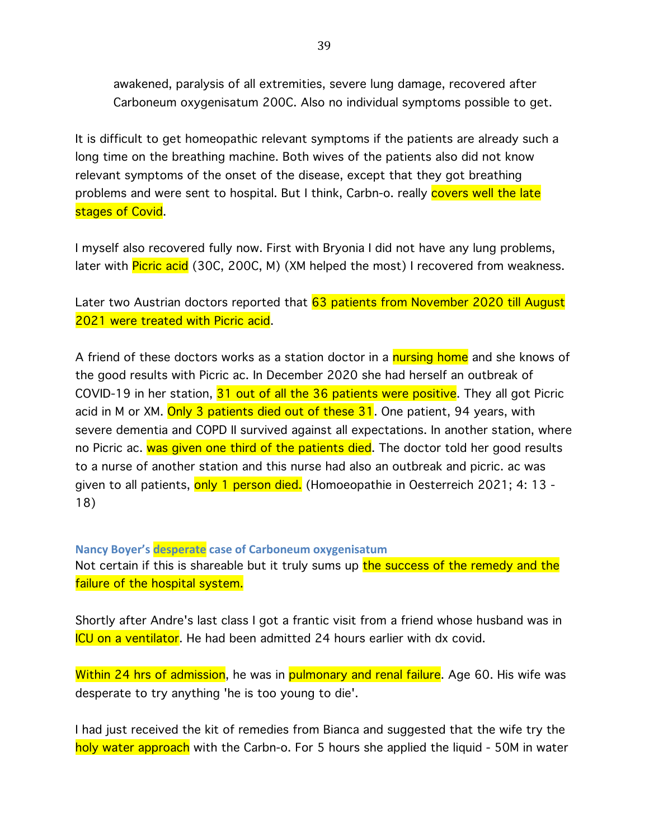awakened, paralysis of all extremities, severe lung damage, recovered after Carboneum oxygenisatum 200C. Also no individual symptoms possible to get.

It is difficult to get homeopathic relevant symptoms if the patients are already such a long time on the breathing machine. Both wives of the patients also did not know relevant symptoms of the onset of the disease, except that they got breathing problems and were sent to hospital. But I think, Carbn-o. really covers well the late stages of Covid.

I myself also recovered fully now. First with Bryonia I did not have any lung problems, later with **Picric acid** (30C, 200C, M) (XM helped the most) I recovered from weakness.

Later two Austrian doctors reported that 63 patients from November 2020 till August 2021 were treated with Picric acid.

A friend of these doctors works as a station doctor in a **nursing home** and she knows of the good results with Picric ac. In December 2020 she had herself an outbreak of COVID-19 in her station, 31 out of all the 36 patients were positive. They all got Picric acid in M or XM. Only 3 patients died out of these 31. One patient, 94 years, with severe dementia and COPD II survived against all expectations. In another station, where no Picric ac. was given one third of the patients died. The doctor told her good results to a nurse of another station and this nurse had also an outbreak and picric. ac was given to all patients, only 1 person died. (Homoeopathie in Oesterreich 2021; 4: 13 -18)

**Nancy Boyer's desperate case of Carboneum oxygenisatum** Not certain if this is shareable but it truly sums up the success of the remedy and the failure of the hospital system.

Shortly after Andre's last class I got a frantic visit from a friend whose husband was in ICU on a ventilator. He had been admitted 24 hours earlier with dx covid.

Within 24 hrs of admission, he was in pulmonary and renal failure. Age 60. His wife was desperate to try anything 'he is too young to die'.

I had just received the kit of remedies from Bianca and suggested that the wife try the holy water approach with the Carbn-o. For 5 hours she applied the liquid - 50M in water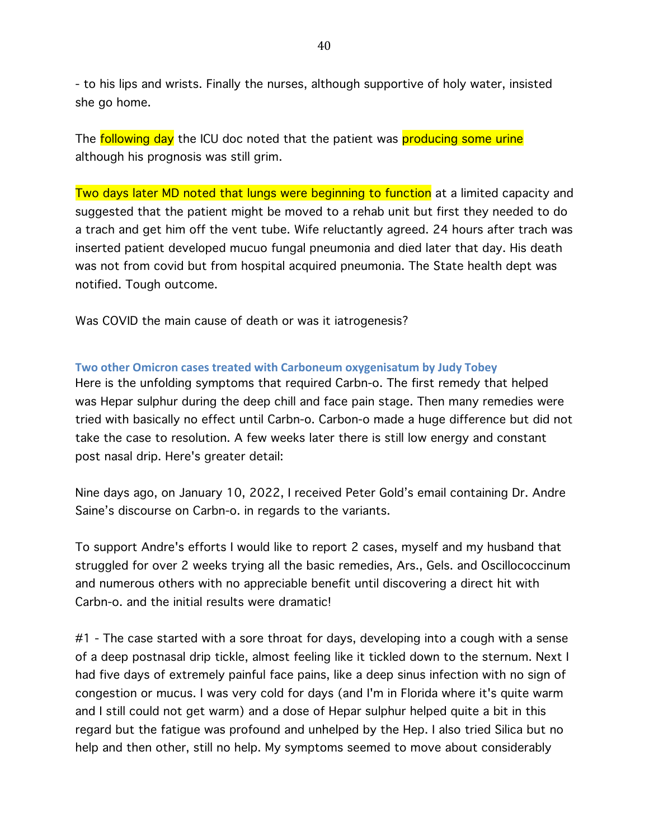- to his lips and wrists. Finally the nurses, although supportive of holy water, insisted she go home.

The following day the ICU doc noted that the patient was producing some urine although his prognosis was still grim.

Two days later MD noted that lungs were beginning to function at a limited capacity and suggested that the patient might be moved to a rehab unit but first they needed to do a trach and get him off the vent tube. Wife reluctantly agreed. 24 hours after trach was inserted patient developed mucuo fungal pneumonia and died later that day. His death was not from covid but from hospital acquired pneumonia. The State health dept was notified. Tough outcome.

Was COVID the main cause of death or was it iatrogenesis?

#### **Two other Omicron cases treated with Carboneum oxygenisatum by Judy Tobey**

Here is the unfolding symptoms that required Carbn-o. The first remedy that helped was Hepar sulphur during the deep chill and face pain stage. Then many remedies were tried with basically no effect until Carbn-o. Carbon-o made a huge difference but did not take the case to resolution. A few weeks later there is still low energy and constant post nasal drip. Here's greater detail:

Nine days ago, on January 10, 2022, I received Peter Gold's email containing Dr. Andre Saine's discourse on Carbn-o. in regards to the variants.

To support Andre's efforts I would like to report 2 cases, myself and my husband that struggled for over 2 weeks trying all the basic remedies, Ars., Gels. and Oscillococcinum and numerous others with no appreciable benefit until discovering a direct hit with Carbn-o. and the initial results were dramatic!

#1 - The case started with a sore throat for days, developing into a cough with a sense of a deep postnasal drip tickle, almost feeling like it tickled down to the sternum. Next I had five days of extremely painful face pains, like a deep sinus infection with no sign of congestion or mucus. I was very cold for days (and I'm in Florida where it's quite warm and I still could not get warm) and a dose of Hepar sulphur helped quite a bit in this regard but the fatigue was profound and unhelped by the Hep. I also tried Silica but no help and then other, still no help. My symptoms seemed to move about considerably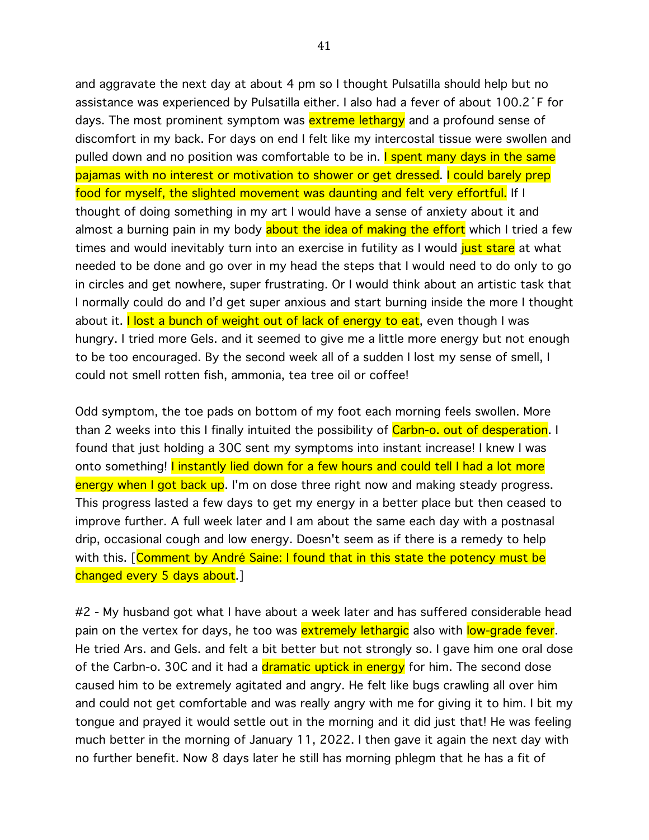and aggravate the next day at about 4 pm so I thought Pulsatilla should help but no assistance was experienced by Pulsatilla either. I also had a fever of about 100.2˚F for days. The most prominent symptom was **extreme lethargy** and a profound sense of discomfort in my back. For days on end I felt like my intercostal tissue were swollen and pulled down and no position was comfortable to be in. I spent many days in the same pajamas with no interest or motivation to shower or get dressed. I could barely prep food for myself, the slighted movement was daunting and felt very effortful. If I thought of doing something in my art I would have a sense of anxiety about it and almost a burning pain in my body about the idea of making the effort which I tried a few times and would inevitably turn into an exercise in futility as I would just stare at what needed to be done and go over in my head the steps that I would need to do only to go in circles and get nowhere, super frustrating. Or I would think about an artistic task that I normally could do and I'd get super anxious and start burning inside the more I thought about it. I lost a bunch of weight out of lack of energy to eat, even though I was hungry. I tried more Gels. and it seemed to give me a little more energy but not enough to be too encouraged. By the second week all of a sudden I lost my sense of smell, I could not smell rotten fish, ammonia, tea tree oil or coffee!

Odd symptom, the toe pads on bottom of my foot each morning feels swollen. More than 2 weeks into this I finally intuited the possibility of Carbn-o. out of desperation. I found that just holding a 30C sent my symptoms into instant increase! I knew I was onto something! I instantly lied down for a few hours and could tell I had a lot more energy when I got back up. I'm on dose three right now and making steady progress. This progress lasted a few days to get my energy in a better place but then ceased to improve further. A full week later and I am about the same each day with a postnasal drip, occasional cough and low energy. Doesn't seem as if there is a remedy to help with this. [Comment by André Saine: I found that in this state the potency must be changed every 5 days about.]

#2 - My husband got what I have about a week later and has suffered considerable head pain on the vertex for days, he too was extremely lethargic also with low-grade fever. He tried Ars. and Gels. and felt a bit better but not strongly so. I gave him one oral dose of the Carbn-o. 30C and it had a dramatic uptick in energy for him. The second dose caused him to be extremely agitated and angry. He felt like bugs crawling all over him and could not get comfortable and was really angry with me for giving it to him. I bit my tongue and prayed it would settle out in the morning and it did just that! He was feeling much better in the morning of January 11, 2022. I then gave it again the next day with no further benefit. Now 8 days later he still has morning phlegm that he has a fit of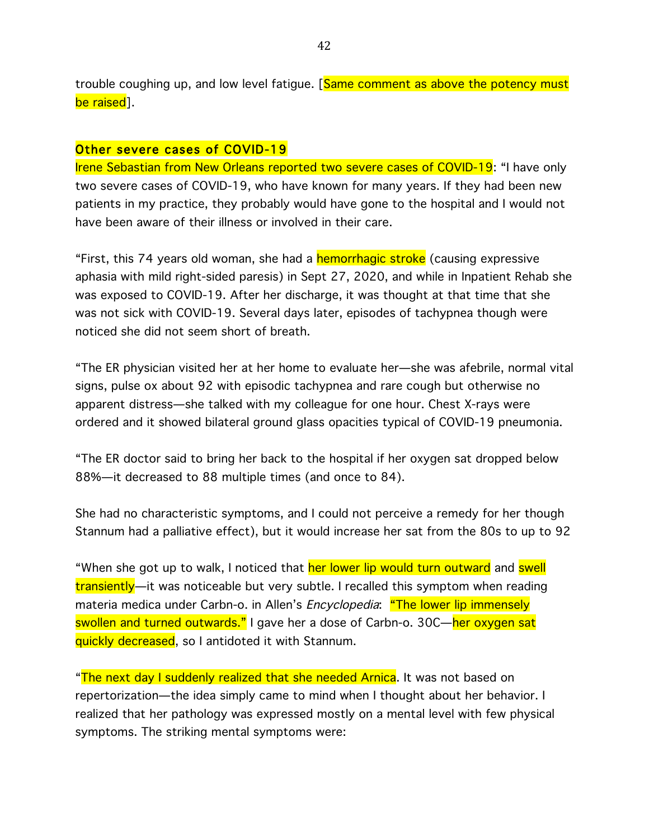trouble coughing up, and low level fatigue. [Same comment as above the potency must be raised].

#### Other severe cases of COVID-19

Irene Sebastian from New Orleans reported two severe cases of COVID-19: "I have only two severe cases of COVID-19, who have known for many years. If they had been new patients in my practice, they probably would have gone to the hospital and I would not have been aware of their illness or involved in their care.

"First, this 74 years old woman, she had a hemorrhagic stroke (causing expressive aphasia with mild right-sided paresis) in Sept 27, 2020, and while in Inpatient Rehab she was exposed to COVID-19. After her discharge, it was thought at that time that she was not sick with COVID-19. Several days later, episodes of tachypnea though were noticed she did not seem short of breath.

"The ER physician visited her at her home to evaluate her—she was afebrile, normal vital signs, pulse ox about 92 with episodic tachypnea and rare cough but otherwise no apparent distress—she talked with my colleague for one hour. Chest X-rays were ordered and it showed bilateral ground glass opacities typical of COVID-19 pneumonia.

"The ER doctor said to bring her back to the hospital if her oxygen sat dropped below 88%—it decreased to 88 multiple times (and once to 84).

She had no characteristic symptoms, and I could not perceive a remedy for her though Stannum had a palliative effect), but it would increase her sat from the 80s to up to 92

"When she got up to walk, I noticed that her lower lip would turn outward and swell transiently—it was noticeable but very subtle. I recalled this symptom when reading materia medica under Carbn-o. in Allen's *Encyclopedia*: "The lower lip immensely swollen and turned outwards." I gave her a dose of Carbn-o. 30C—her oxygen sat quickly decreased, so I antidoted it with Stannum.

"The next day I suddenly realized that she needed Arnica. It was not based on repertorization—the idea simply came to mind when I thought about her behavior. I realized that her pathology was expressed mostly on a mental level with few physical symptoms. The striking mental symptoms were: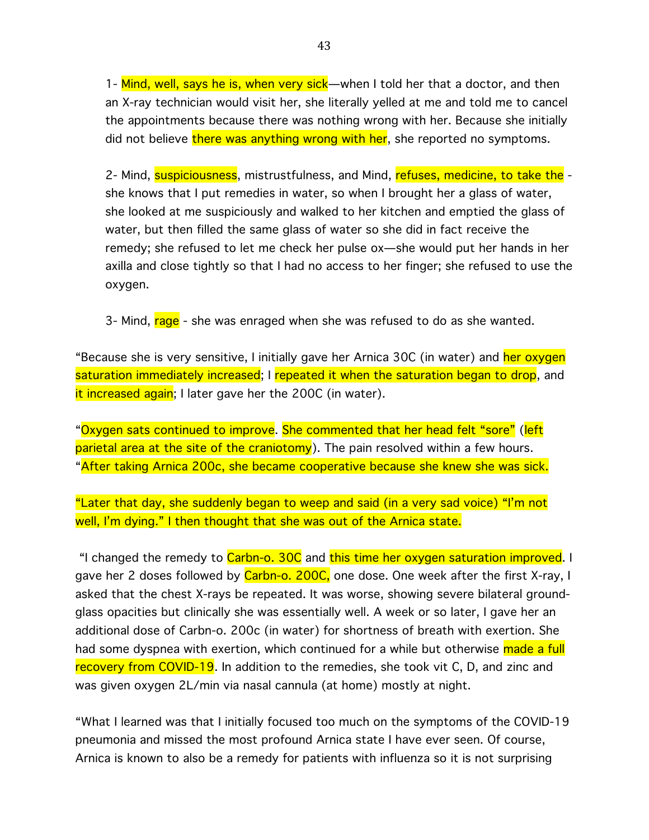1- Mind, well, says he is, when very sick—when I told her that a doctor, and then an X-ray technician would visit her, she literally yelled at me and told me to cancel the appointments because there was nothing wrong with her. Because she initially did not believe there was anything wrong with her, she reported no symptoms.

2- Mind, suspiciousness, mistrustfulness, and Mind, refuses, medicine, to take the she knows that I put remedies in water, so when I brought her a glass of water, she looked at me suspiciously and walked to her kitchen and emptied the glass of water, but then filled the same glass of water so she did in fact receive the remedy; she refused to let me check her pulse ox—she would put her hands in her axilla and close tightly so that I had no access to her finger; she refused to use the oxygen.

3- Mind, rage - she was enraged when she was refused to do as she wanted.

"Because she is very sensitive, I initially gave her Arnica 30C (in water) and her oxygen saturation immediately increased; I repeated it when the saturation began to drop, and it increased again; I later gave her the 200C (in water).

"Oxygen sats continued to improve. She commented that her head felt "sore" (left parietal area at the site of the craniotomy). The pain resolved within a few hours. "After taking Arnica 200c, she became cooperative because she knew she was sick.

"Later that day, she suddenly began to weep and said (in a very sad voice) "I'm not well, I'm dying." I then thought that she was out of the Arnica state.

"I changed the remedy to Carbn-o. 30C and this time her oxygen saturation improved. I gave her 2 doses followed by Carbn-o. 200C, one dose. One week after the first X-ray, I asked that the chest X-rays be repeated. It was worse, showing severe bilateral groundglass opacities but clinically she was essentially well. A week or so later, I gave her an additional dose of Carbn-o. 200c (in water) for shortness of breath with exertion. She had some dyspnea with exertion, which continued for a while but otherwise made a full recovery from COVID-19. In addition to the remedies, she took vit C, D, and zinc and was given oxygen 2L/min via nasal cannula (at home) mostly at night.

"What I learned was that I initially focused too much on the symptoms of the COVID-19 pneumonia and missed the most profound Arnica state I have ever seen. Of course, Arnica is known to also be a remedy for patients with influenza so it is not surprising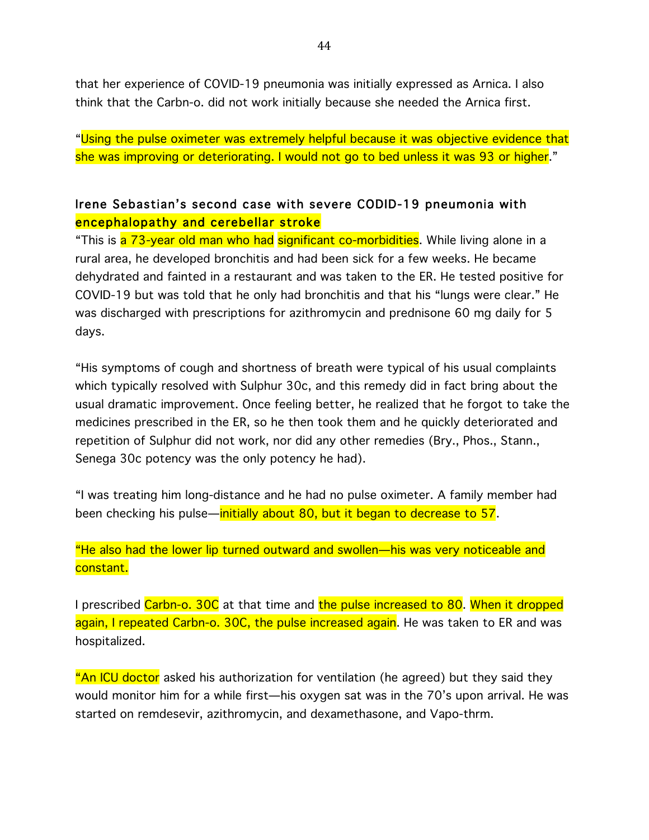that her experience of COVID-19 pneumonia was initially expressed as Arnica. I also think that the Carbn-o. did not work initially because she needed the Arnica first.

"Using the pulse oximeter was extremely helpful because it was objective evidence that she was improving or deteriorating. I would not go to bed unless it was 93 or higher."

# Irene Sebastian's second case with severe CODID-19 pneumonia with encephalopathy and cerebellar stroke

"This is a 73-year old man who had significant co-morbidities. While living alone in a rural area, he developed bronchitis and had been sick for a few weeks. He became dehydrated and fainted in a restaurant and was taken to the ER. He tested positive for COVID-19 but was told that he only had bronchitis and that his "lungs were clear." He was discharged with prescriptions for azithromycin and prednisone 60 mg daily for 5 days.

"His symptoms of cough and shortness of breath were typical of his usual complaints which typically resolved with Sulphur 30c, and this remedy did in fact bring about the usual dramatic improvement. Once feeling better, he realized that he forgot to take the medicines prescribed in the ER, so he then took them and he quickly deteriorated and repetition of Sulphur did not work, nor did any other remedies (Bry., Phos., Stann., Senega 30c potency was the only potency he had).

"I was treating him long-distance and he had no pulse oximeter. A family member had been checking his pulse—initially about 80, but it began to decrease to 57.

"He also had the lower lip turned outward and swollen—his was very noticeable and constant.

I prescribed Carbn-o. 30C at that time and the pulse increased to 80. When it dropped again, I repeated Carbn-o. 30C, the pulse increased again. He was taken to ER and was hospitalized.

"An ICU doctor asked his authorization for ventilation (he agreed) but they said they would monitor him for a while first—his oxygen sat was in the 70's upon arrival. He was started on remdesevir, azithromycin, and dexamethasone, and Vapo-thrm.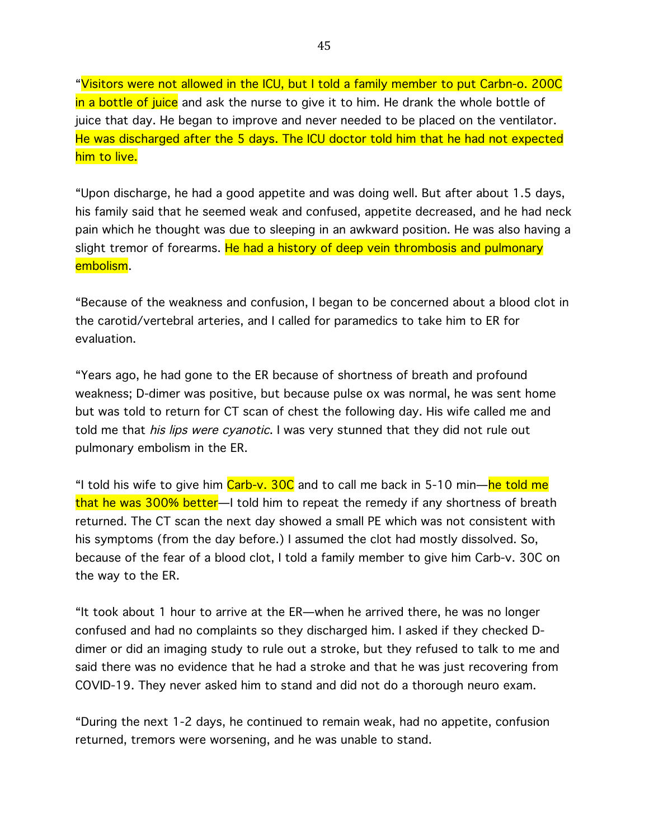"Visitors were not allowed in the ICU, but I told a family member to put Carbn-o. 200C in a bottle of juice and ask the nurse to give it to him. He drank the whole bottle of juice that day. He began to improve and never needed to be placed on the ventilator. He was discharged after the 5 days. The ICU doctor told him that he had not expected him to live.

"Upon discharge, he had a good appetite and was doing well. But after about 1.5 days, his family said that he seemed weak and confused, appetite decreased, and he had neck pain which he thought was due to sleeping in an awkward position. He was also having a slight tremor of forearms. He had a history of deep vein thrombosis and pulmonary embolism.

"Because of the weakness and confusion, I began to be concerned about a blood clot in the carotid/vertebral arteries, and I called for paramedics to take him to ER for evaluation.

"Years ago, he had gone to the ER because of shortness of breath and profound weakness; D-dimer was positive, but because pulse ox was normal, he was sent home but was told to return for CT scan of chest the following day. His wife called me and told me that his lips were cyanotic. I was very stunned that they did not rule out pulmonary embolism in the ER.

"I told his wife to give him Carb-v. 30C and to call me back in 5-10 min—he told me that he was 300% better—I told him to repeat the remedy if any shortness of breath returned. The CT scan the next day showed a small PE which was not consistent with his symptoms (from the day before.) I assumed the clot had mostly dissolved. So, because of the fear of a blood clot, I told a family member to give him Carb-v. 30C on the way to the ER.

"It took about 1 hour to arrive at the ER—when he arrived there, he was no longer confused and had no complaints so they discharged him. I asked if they checked Ddimer or did an imaging study to rule out a stroke, but they refused to talk to me and said there was no evidence that he had a stroke and that he was just recovering from COVID-19. They never asked him to stand and did not do a thorough neuro exam.

"During the next 1-2 days, he continued to remain weak, had no appetite, confusion returned, tremors were worsening, and he was unable to stand.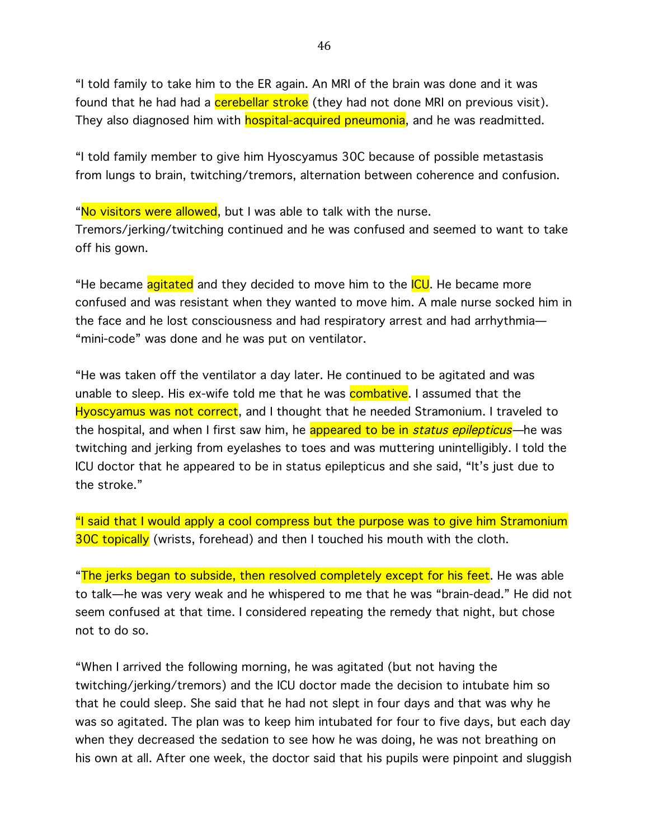"I told family to take him to the ER again. An MRI of the brain was done and it was found that he had had a **cerebellar stroke** (they had not done MRI on previous visit). They also diagnosed him with **hospital-acquired pneumonia**, and he was readmitted.

"I told family member to give him Hyoscyamus 30C because of possible metastasis from lungs to brain, twitching/tremors, alternation between coherence and confusion.

"No visitors were allowed, but I was able to talk with the nurse. Tremors/jerking/twitching continued and he was confused and seemed to want to take off his gown.

"He became agitated and they decided to move him to the ICU. He became more confused and was resistant when they wanted to move him. A male nurse socked him in the face and he lost consciousness and had respiratory arrest and had arrhythmia— "mini-code" was done and he was put on ventilator.

"He was taken off the ventilator a day later. He continued to be agitated and was unable to sleep. His ex-wife told me that he was **combative**. I assumed that the Hyoscyamus was not correct, and I thought that he needed Stramonium. I traveled to the hospital, and when I first saw him, he appeared to be in *status epilepticus*—he was twitching and jerking from eyelashes to toes and was muttering unintelligibly. I told the ICU doctor that he appeared to be in status epilepticus and she said, "It's just due to the stroke."

"I said that I would apply a cool compress but the purpose was to give him Stramonium 30C topically (wrists, forehead) and then I touched his mouth with the cloth.

"The jerks began to subside, then resolved completely except for his feet. He was able to talk—he was very weak and he whispered to me that he was "brain-dead." He did not seem confused at that time. I considered repeating the remedy that night, but chose not to do so.

"When I arrived the following morning, he was agitated (but not having the twitching/jerking/tremors) and the ICU doctor made the decision to intubate him so that he could sleep. She said that he had not slept in four days and that was why he was so agitated. The plan was to keep him intubated for four to five days, but each day when they decreased the sedation to see how he was doing, he was not breathing on his own at all. After one week, the doctor said that his pupils were pinpoint and sluggish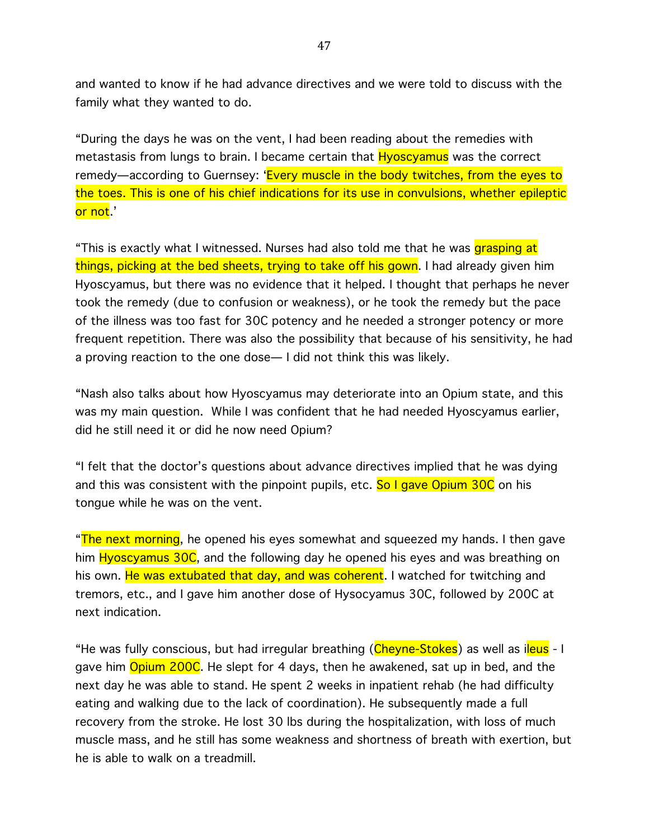and wanted to know if he had advance directives and we were told to discuss with the family what they wanted to do.

"During the days he was on the vent, I had been reading about the remedies with metastasis from lungs to brain. I became certain that **Hyoscyamus** was the correct remedy—according to Guernsey: 'Every muscle in the body twitches, from the eyes to the toes. This is one of his chief indications for its use in convulsions, whether epileptic or not.'

"This is exactly what I witnessed. Nurses had also told me that he was grasping at things, picking at the bed sheets, trying to take off his gown. I had already given him Hyoscyamus, but there was no evidence that it helped. I thought that perhaps he never took the remedy (due to confusion or weakness), or he took the remedy but the pace of the illness was too fast for 30C potency and he needed a stronger potency or more frequent repetition. There was also the possibility that because of his sensitivity, he had a proving reaction to the one dose— I did not think this was likely.

"Nash also talks about how Hyoscyamus may deteriorate into an Opium state, and this was my main question. While I was confident that he had needed Hyoscyamus earlier, did he still need it or did he now need Opium?

"I felt that the doctor's questions about advance directives implied that he was dying and this was consistent with the pinpoint pupils, etc. So I gave Opium 30C on his tongue while he was on the vent.

"The next morning, he opened his eyes somewhat and squeezed my hands. I then gave him Hyoscyamus 30C, and the following day he opened his eyes and was breathing on his own. He was extubated that day, and was coherent. I watched for twitching and tremors, etc., and I gave him another dose of Hysocyamus 30C, followed by 200C at next indication.

"He was fully conscious, but had irregular breathing (Cheyne-Stokes) as well as ileus - I gave him **Opium 200C**. He slept for 4 days, then he awakened, sat up in bed, and the next day he was able to stand. He spent 2 weeks in inpatient rehab (he had difficulty eating and walking due to the lack of coordination). He subsequently made a full recovery from the stroke. He lost 30 lbs during the hospitalization, with loss of much muscle mass, and he still has some weakness and shortness of breath with exertion, but he is able to walk on a treadmill.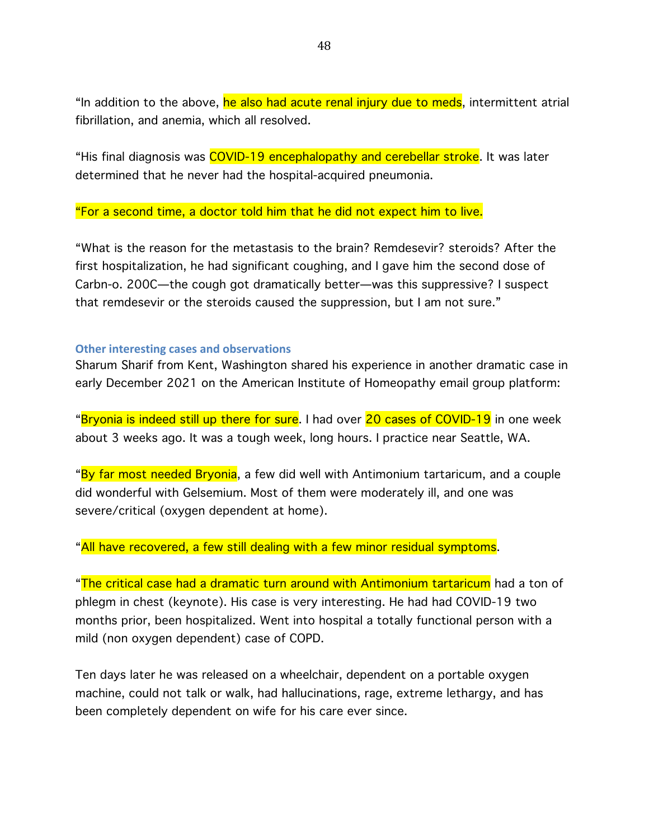"In addition to the above, he also had acute renal injury due to meds, intermittent atrial fibrillation, and anemia, which all resolved.

"His final diagnosis was COVID-19 encephalopathy and cerebellar stroke. It was later determined that he never had the hospital-acquired pneumonia.

"For a second time, a doctor told him that he did not expect him to live.

"What is the reason for the metastasis to the brain? Remdesevir? steroids? After the first hospitalization, he had significant coughing, and I gave him the second dose of Carbn-o. 200C—the cough got dramatically better—was this suppressive? I suspect that remdesevir or the steroids caused the suppression, but I am not sure."

#### **Other interesting cases and observations**

Sharum Sharif from Kent, Washington shared his experience in another dramatic case in early December 2021 on the American Institute of Homeopathy email group platform:

"Bryonia is indeed still up there for sure. I had over 20 cases of COVID-19 in one week about 3 weeks ago. It was a tough week, long hours. I practice near Seattle, WA.

"By far most needed Bryonia, a few did well with Antimonium tartaricum, and a couple did wonderful with Gelsemium. Most of them were moderately ill, and one was severe/critical (oxygen dependent at home).

"All have recovered, a few still dealing with a few minor residual symptoms.

"The critical case had a dramatic turn around with Antimonium tartaricum had a ton of phlegm in chest (keynote). His case is very interesting. He had had COVID-19 two months prior, been hospitalized. Went into hospital a totally functional person with a mild (non oxygen dependent) case of COPD.

Ten days later he was released on a wheelchair, dependent on a portable oxygen machine, could not talk or walk, had hallucinations, rage, extreme lethargy, and has been completely dependent on wife for his care ever since.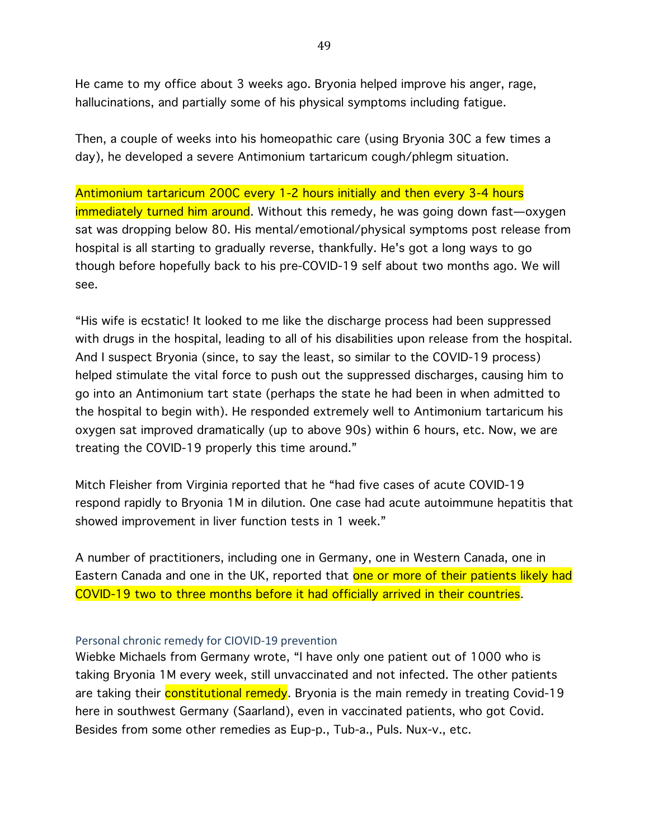He came to my office about 3 weeks ago. Bryonia helped improve his anger, rage, hallucinations, and partially some of his physical symptoms including fatigue.

Then, a couple of weeks into his homeopathic care (using Bryonia 30C a few times a day), he developed a severe Antimonium tartaricum cough/phlegm situation.

Antimonium tartaricum 200C every 1-2 hours initially and then every 3-4 hours immediately turned him around. Without this remedy, he was going down fast—oxygen sat was dropping below 80. His mental/emotional/physical symptoms post release from hospital is all starting to gradually reverse, thankfully. He's got a long ways to go though before hopefully back to his pre-COVID-19 self about two months ago. We will see.

"His wife is ecstatic! It looked to me like the discharge process had been suppressed with drugs in the hospital, leading to all of his disabilities upon release from the hospital. And I suspect Bryonia (since, to say the least, so similar to the COVID-19 process) helped stimulate the vital force to push out the suppressed discharges, causing him to go into an Antimonium tart state (perhaps the state he had been in when admitted to the hospital to begin with). He responded extremely well to Antimonium tartaricum his oxygen sat improved dramatically (up to above 90s) within 6 hours, etc. Now, we are treating the COVID-19 properly this time around."

Mitch Fleisher from Virginia reported that he "had five cases of acute COVID-19 respond rapidly to Bryonia 1M in dilution. One case had acute autoimmune hepatitis that showed improvement in liver function tests in 1 week."

A number of practitioners, including one in Germany, one in Western Canada, one in Eastern Canada and one in the UK, reported that one or more of their patients likely had COVID-19 two to three months before it had officially arrived in their countries.

#### Personal chronic remedy for CIOVID-19 prevention

Wiebke Michaels from Germany wrote, "I have only one patient out of 1000 who is taking Bryonia 1M every week, still unvaccinated and not infected. The other patients are taking their **constitutional remedy**. Bryonia is the main remedy in treating Covid-19 here in southwest Germany (Saarland), even in vaccinated patients, who got Covid. Besides from some other remedies as Eup-p., Tub-a., Puls. Nux-v., etc.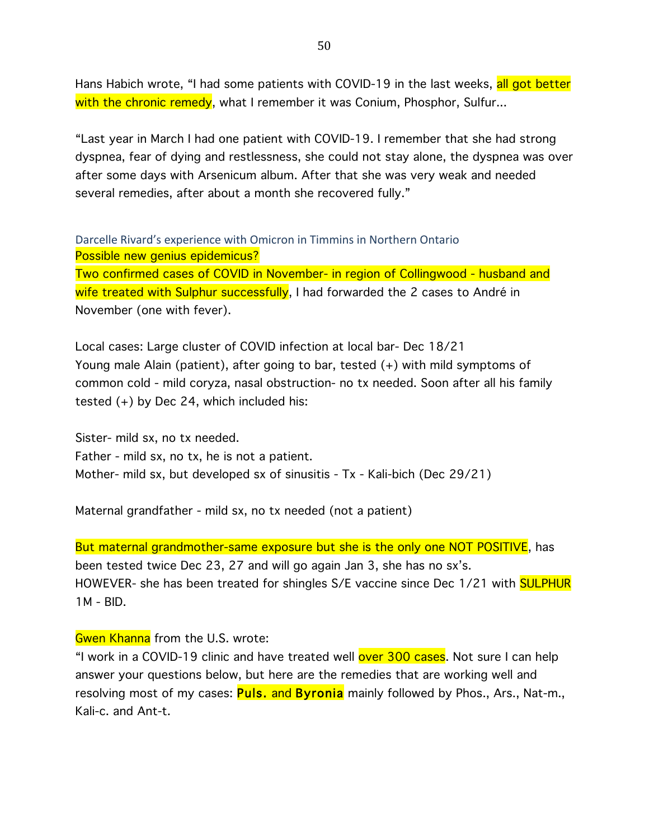Hans Habich wrote, "I had some patients with COVID-19 in the last weeks, all got better with the chronic remedy, what I remember it was Conium, Phosphor, Sulfur...

"Last year in March I had one patient with COVID-19. I remember that she had strong dyspnea, fear of dying and restlessness, she could not stay alone, the dyspnea was over after some days with Arsenicum album. After that she was very weak and needed several remedies, after about a month she recovered fully."

Darcelle Rivard's experience with Omicron in Timmins in Northern Ontario Possible new genius epidemicus?

Two confirmed cases of COVID in November- in region of Collingwood - husband and wife treated with Sulphur successfully, I had forwarded the 2 cases to André in November (one with fever).

Local cases: Large cluster of COVID infection at local bar- Dec 18/21 Young male Alain (patient), after going to bar, tested (+) with mild symptoms of common cold - mild coryza, nasal obstruction- no tx needed. Soon after all his family tested (+) by Dec 24, which included his:

Sister- mild sx, no tx needed. Father - mild sx, no tx, he is not a patient. Mother- mild sx, but developed sx of sinusitis - Tx - Kali-bich (Dec 29/21)

Maternal grandfather - mild sx, no tx needed (not a patient)

But maternal grandmother-same exposure but she is the only one NOT POSITIVE, has been tested twice Dec 23, 27 and will go again Jan 3, she has no sx's. HOWEVER- she has been treated for shingles S/E vaccine since Dec 1/21 with SULPHUR 1M - BID.

### Gwen Khanna from the U.S. wrote:

"I work in a COVID-19 clinic and have treated well over 300 cases. Not sure I can help answer your questions below, but here are the remedies that are working well and resolving most of my cases: **Puls. and Byronia** mainly followed by Phos., Ars., Nat-m., Kali-c. and Ant-t.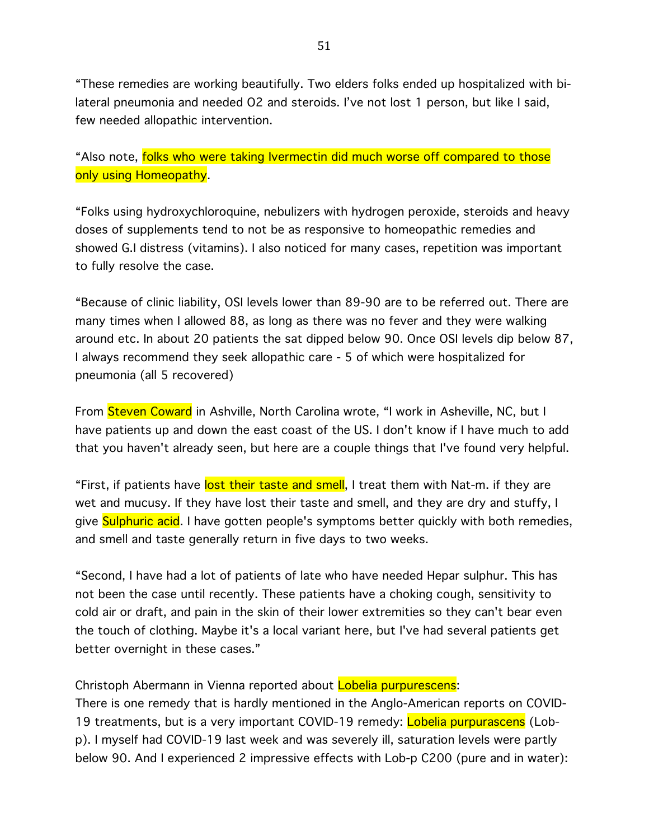"These remedies are working beautifully. Two elders folks ended up hospitalized with bilateral pneumonia and needed O2 and steroids. I've not lost 1 person, but like I said, few needed allopathic intervention.

"Also note, folks who were taking Ivermectin did much worse off compared to those only using Homeopathy.

"Folks using hydroxychloroquine, nebulizers with hydrogen peroxide, steroids and heavy doses of supplements tend to not be as responsive to homeopathic remedies and showed G.I distress (vitamins). I also noticed for many cases, repetition was important to fully resolve the case.

"Because of clinic liability, OSI levels lower than 89-90 are to be referred out. There are many times when I allowed 88, as long as there was no fever and they were walking around etc. In about 20 patients the sat dipped below 90. Once OSI levels dip below 87, I always recommend they seek allopathic care - 5 of which were hospitalized for pneumonia (all 5 recovered)

From Steven Coward in Ashville, North Carolina wrote, "I work in Asheville, NC, but I have patients up and down the east coast of the US. I don't know if I have much to add that you haven't already seen, but here are a couple things that I've found very helpful.

"First, if patients have lost their taste and smell, I treat them with Nat-m. if they are wet and mucusy. If they have lost their taste and smell, and they are dry and stuffy, I give Sulphuric acid. I have gotten people's symptoms better quickly with both remedies, and smell and taste generally return in five days to two weeks.

"Second, I have had a lot of patients of late who have needed Hepar sulphur. This has not been the case until recently. These patients have a choking cough, sensitivity to cold air or draft, and pain in the skin of their lower extremities so they can't bear even the touch of clothing. Maybe it's a local variant here, but I've had several patients get better overnight in these cases."

Christoph Abermann in Vienna reported about Lobelia purpurescens:

There is one remedy that is hardly mentioned in the Anglo-American reports on COVID-19 treatments, but is a very important COVID-19 remedy: Lobelia purpurascens (Lobp). I myself had COVID-19 last week and was severely ill, saturation levels were partly below 90. And I experienced 2 impressive effects with Lob-p C200 (pure and in water):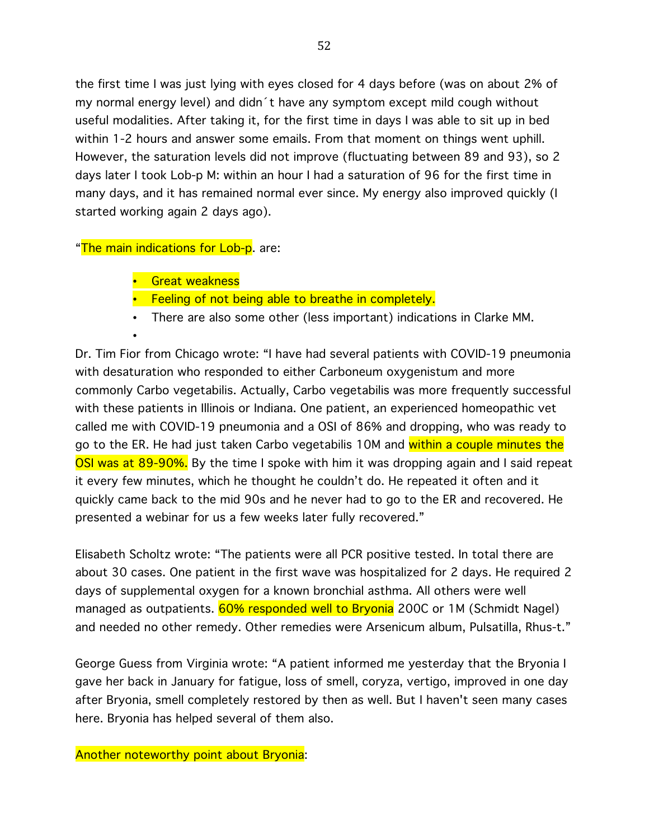the first time I was just lying with eyes closed for 4 days before (was on about 2% of my normal energy level) and didn´t have any symptom except mild cough without useful modalities. After taking it, for the first time in days I was able to sit up in bed within 1-2 hours and answer some emails. From that moment on things went uphill. However, the saturation levels did not improve (fluctuating between 89 and 93), so 2 days later I took Lob-p M: within an hour I had a saturation of 96 for the first time in many days, and it has remained normal ever since. My energy also improved quickly (I started working again 2 days ago).

"The main indications for Lob-p. are:

•

- Great weakness
- Feeling of not being able to breathe in completely.
- There are also some other (less important) indications in Clarke MM.

Dr. Tim Fior from Chicago wrote: "I have had several patients with COVID-19 pneumonia with desaturation who responded to either Carboneum oxygenistum and more commonly Carbo vegetabilis. Actually, Carbo vegetabilis was more frequently successful with these patients in Illinois or Indiana. One patient, an experienced homeopathic vet called me with COVID-19 pneumonia and a OSI of 86% and dropping, who was ready to go to the ER. He had just taken Carbo vegetabilis 10M and within a couple minutes the OSI was at 89-90%. By the time I spoke with him it was dropping again and I said repeat it every few minutes, which he thought he couldn't do. He repeated it often and it quickly came back to the mid 90s and he never had to go to the ER and recovered. He presented a webinar for us a few weeks later fully recovered."

Elisabeth Scholtz wrote: "The patients were all PCR positive tested. In total there are about 30 cases. One patient in the first wave was hospitalized for 2 days. He required 2 days of supplemental oxygen for a known bronchial asthma. All others were well managed as outpatients. 60% responded well to Bryonia 200C or 1M (Schmidt Nagel) and needed no other remedy. Other remedies were Arsenicum album, Pulsatilla, Rhus-t."

George Guess from Virginia wrote: "A patient informed me yesterday that the Bryonia I gave her back in January for fatigue, loss of smell, coryza, vertigo, improved in one day after Bryonia, smell completely restored by then as well. But I haven't seen many cases here. Bryonia has helped several of them also.

Another noteworthy point about Bryonia: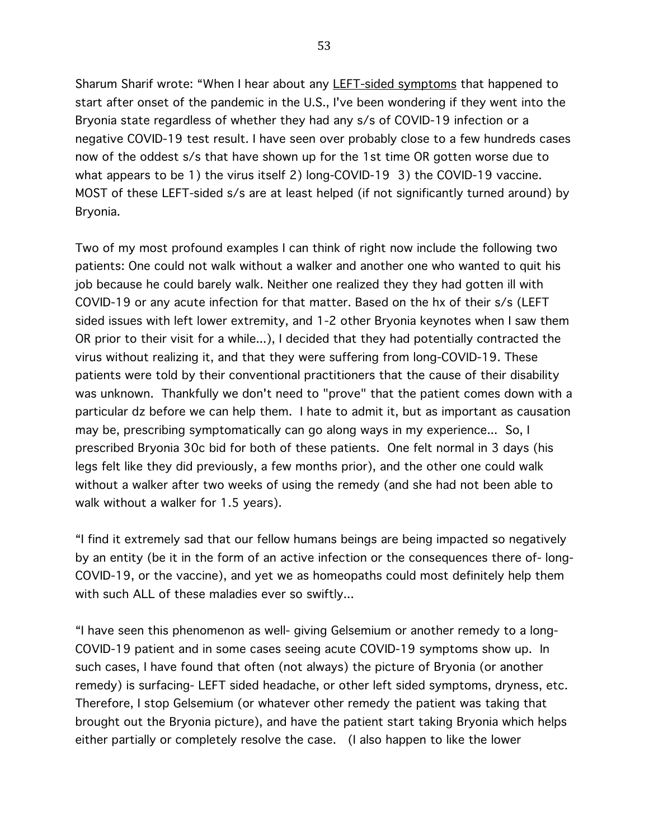Sharum Sharif wrote: "When I hear about any LEFT-sided symptoms that happened to start after onset of the pandemic in the U.S., I've been wondering if they went into the Bryonia state regardless of whether they had any s/s of COVID-19 infection or a negative COVID-19 test result. I have seen over probably close to a few hundreds cases now of the oddest s/s that have shown up for the 1st time OR gotten worse due to what appears to be 1) the virus itself 2) long-COVID-19 3) the COVID-19 vaccine. MOST of these LEFT-sided s/s are at least helped (if not significantly turned around) by Bryonia.

Two of my most profound examples I can think of right now include the following two patients: One could not walk without a walker and another one who wanted to quit his job because he could barely walk. Neither one realized they they had gotten ill with COVID-19 or any acute infection for that matter. Based on the hx of their s/s (LEFT sided issues with left lower extremity, and 1-2 other Bryonia keynotes when I saw them OR prior to their visit for a while...), I decided that they had potentially contracted the virus without realizing it, and that they were suffering from long-COVID-19. These patients were told by their conventional practitioners that the cause of their disability was unknown. Thankfully we don't need to "prove" that the patient comes down with a particular dz before we can help them. I hate to admit it, but as important as causation may be, prescribing symptomatically can go along ways in my experience... So, I prescribed Bryonia 30c bid for both of these patients. One felt normal in 3 days (his legs felt like they did previously, a few months prior), and the other one could walk without a walker after two weeks of using the remedy (and she had not been able to walk without a walker for 1.5 years).

"I find it extremely sad that our fellow humans beings are being impacted so negatively by an entity (be it in the form of an active infection or the consequences there of- long-COVID-19, or the vaccine), and yet we as homeopaths could most definitely help them with such ALL of these maladies ever so swiftly...

"I have seen this phenomenon as well- giving Gelsemium or another remedy to a long-COVID-19 patient and in some cases seeing acute COVID-19 symptoms show up. In such cases, I have found that often (not always) the picture of Bryonia (or another remedy) is surfacing- LEFT sided headache, or other left sided symptoms, dryness, etc. Therefore, I stop Gelsemium (or whatever other remedy the patient was taking that brought out the Bryonia picture), and have the patient start taking Bryonia which helps either partially or completely resolve the case. (I also happen to like the lower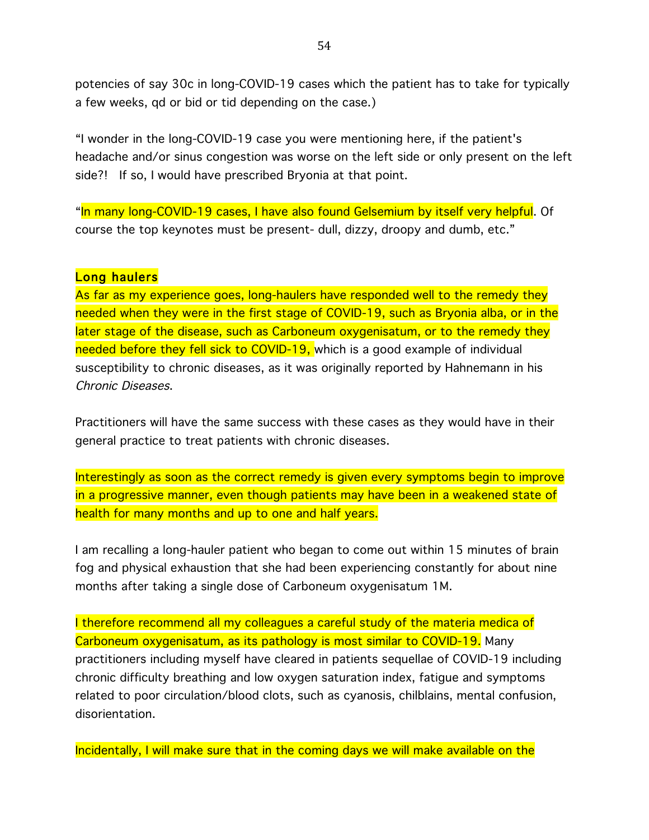potencies of say 30c in long-COVID-19 cases which the patient has to take for typically a few weeks, qd or bid or tid depending on the case.)

"I wonder in the long-COVID-19 case you were mentioning here, if the patient's headache and/or sinus congestion was worse on the left side or only present on the left side?! If so, I would have prescribed Bryonia at that point.

"In many long-COVID-19 cases, I have also found Gelsemium by itself very helpful. Of course the top keynotes must be present- dull, dizzy, droopy and dumb, etc."

#### Long haulers

As far as my experience goes, long-haulers have responded well to the remedy they needed when they were in the first stage of COVID-19, such as Bryonia alba, or in the later stage of the disease, such as Carboneum oxygenisatum, or to the remedy they needed before they fell sick to COVID-19, which is a good example of individual susceptibility to chronic diseases, as it was originally reported by Hahnemann in his Chronic Diseases.

Practitioners will have the same success with these cases as they would have in their general practice to treat patients with chronic diseases.

Interestingly as soon as the correct remedy is given every symptoms begin to improve in a progressive manner, even though patients may have been in a weakened state of health for many months and up to one and half years.

I am recalling a long-hauler patient who began to come out within 15 minutes of brain fog and physical exhaustion that she had been experiencing constantly for about nine months after taking a single dose of Carboneum oxygenisatum 1M.

I therefore recommend all my colleagues a careful study of the materia medica of Carboneum oxygenisatum, as its pathology is most similar to COVID-19. Many practitioners including myself have cleared in patients sequellae of COVID-19 including chronic difficulty breathing and low oxygen saturation index, fatigue and symptoms related to poor circulation/blood clots, such as cyanosis, chilblains, mental confusion, disorientation.

Incidentally, I will make sure that in the coming days we will make available on the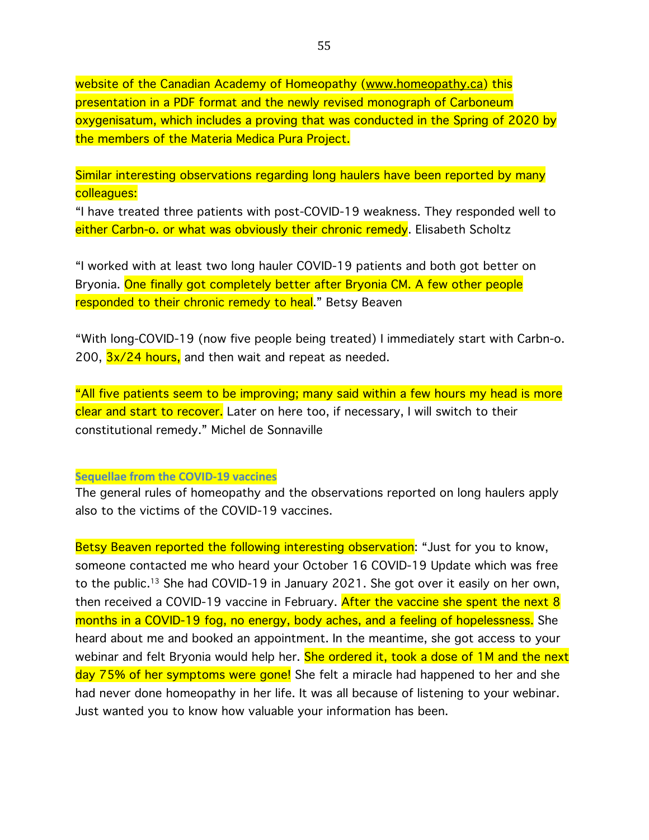website of the Canadian Academy of Homeopathy (www.homeopathy.ca) this presentation in a PDF format and the newly revised monograph of Carboneum oxygenisatum, which includes a proving that was conducted in the Spring of 2020 by the members of the Materia Medica Pura Project.

Similar interesting observations regarding long haulers have been reported by many colleagues:

"I have treated three patients with post-COVID-19 weakness. They responded well to either Carbn-o. or what was obviously their chronic remedy. Elisabeth Scholtz

"I worked with at least two long hauler COVID-19 patients and both got better on Bryonia. One finally got completely better after Bryonia CM. A few other people responded to their chronic remedy to heal." Betsy Beaven

"With long-COVID-19 (now five people being treated) I immediately start with Carbn-o. 200,  $\frac{3x}{24}$  hours, and then wait and repeat as needed.

"All five patients seem to be improving; many said within a few hours my head is more clear and start to recover. Later on here too, if necessary, I will switch to their constitutional remedy." Michel de Sonnaville

#### **Sequellae from the COVID-19 vaccines**

The general rules of homeopathy and the observations reported on long haulers apply also to the victims of the COVID-19 vaccines.

Betsy Beaven reported the following interesting observation: "Just for you to know, someone contacted me who heard your October 16 COVID-19 Update which was free to the public.13 She had COVID-19 in January 2021. She got over it easily on her own, then received a COVID-19 vaccine in February. After the vaccine she spent the next 8 months in a COVID-19 fog, no energy, body aches, and a feeling of hopelessness. She heard about me and booked an appointment. In the meantime, she got access to your webinar and felt Bryonia would help her. She ordered it, took a dose of 1M and the next day 75% of her symptoms were gone! She felt a miracle had happened to her and she had never done homeopathy in her life. It was all because of listening to your webinar. Just wanted you to know how valuable your information has been.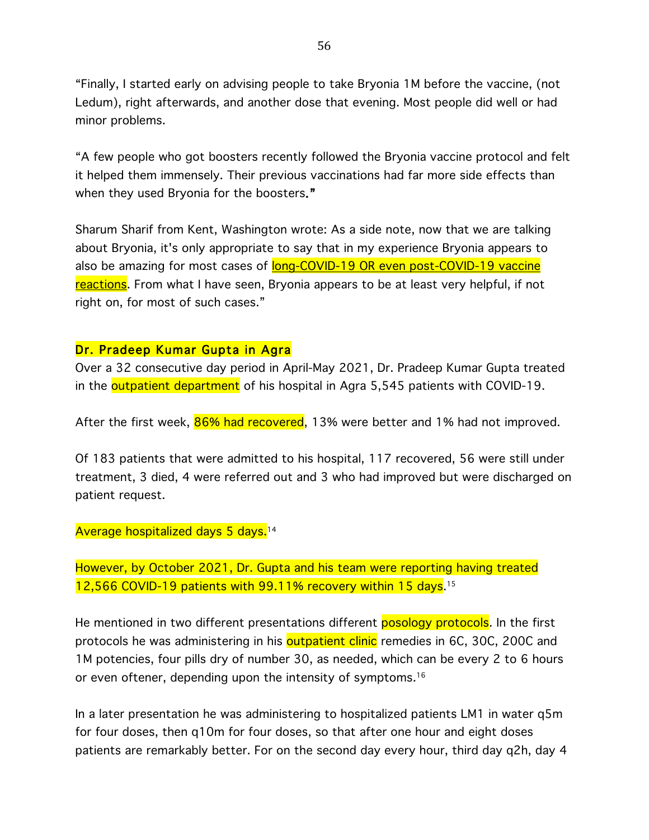"Finally, I started early on advising people to take Bryonia 1M before the vaccine, (not Ledum), right afterwards, and another dose that evening. Most people did well or had minor problems.

"A few people who got boosters recently followed the Bryonia vaccine protocol and felt it helped them immensely. Their previous vaccinations had far more side effects than when they used Bryonia for the boosters."

Sharum Sharif from Kent, Washington wrote: As a side note, now that we are talking about Bryonia, it's only appropriate to say that in my experience Bryonia appears to also be amazing for most cases of long-COVID-19 OR even post-COVID-19 vaccine reactions</u>. From what I have seen, Bryonia appears to be at least very helpful, if not right on, for most of such cases."

### Dr. Pradeep Kumar Gupta in Agra

Over a 32 consecutive day period in April-May 2021, Dr. Pradeep Kumar Gupta treated in the **outpatient department** of his hospital in Agra 5,545 patients with COVID-19.

After the first week, 86% had recovered, 13% were better and 1% had not improved.

Of 183 patients that were admitted to his hospital, 117 recovered, 56 were still under treatment, 3 died, 4 were referred out and 3 who had improved but were discharged on patient request.

### Average hospitalized days 5 days.<sup>14</sup>

However, by October 2021, Dr. Gupta and his team were reporting having treated 12,566 COVID-19 patients with 99.11% recovery within 15 days. 15

He mentioned in two different presentations different posology protocols. In the first protocols he was administering in his **outpatient clinic** remedies in 6C, 30C, 200C and 1M potencies, four pills dry of number 30, as needed, which can be every 2 to 6 hours or even oftener, depending upon the intensity of symptoms. 16

In a later presentation he was administering to hospitalized patients LM1 in water q5m for four doses, then q10m for four doses, so that after one hour and eight doses patients are remarkably better. For on the second day every hour, third day q2h, day 4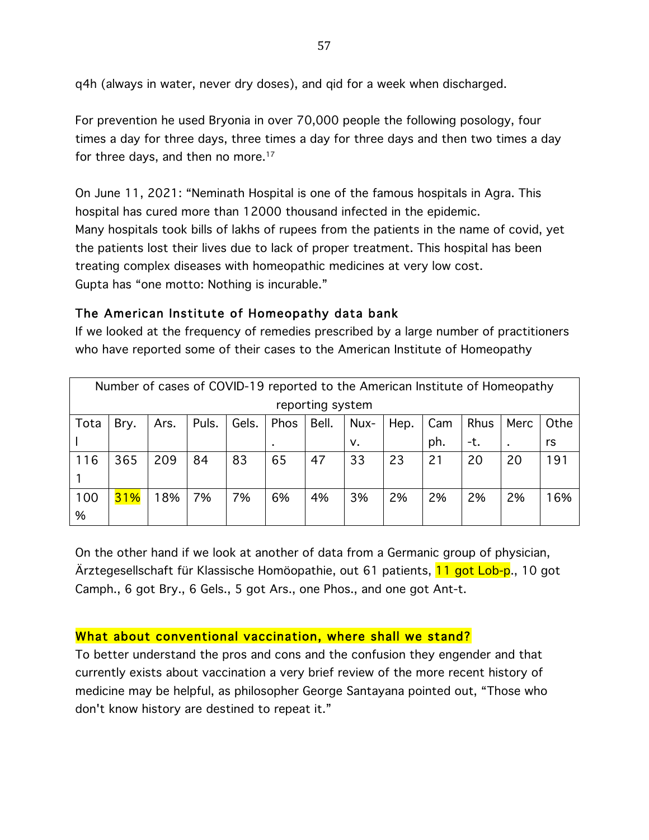q4h (always in water, never dry doses), and qid for a week when discharged.

For prevention he used Bryonia in over 70,000 people the following posology, four times a day for three days, three times a day for three days and then two times a day for three days, and then no more.<sup>17</sup>

On June 11, 2021: "Neminath Hospital is one of the famous hospitals in Agra. This hospital has cured more than 12000 thousand infected in the epidemic. Many hospitals took bills of lakhs of rupees from the patients in the name of covid, yet the patients lost their lives due to lack of proper treatment. This hospital has been treating complex diseases with homeopathic medicines at very low cost. Gupta has "one motto: Nothing is incurable."

# The American Institute of Homeopathy data bank

If we looked at the frequency of remedies prescribed by a large number of practitioners who have reported some of their cases to the American Institute of Homeopathy

|      | Number of cases of COVID-19 reported to the American Institute of Homeopathy |                                                                                       |    |    |    |    |    |    |     |      |    |     |
|------|------------------------------------------------------------------------------|---------------------------------------------------------------------------------------|----|----|----|----|----|----|-----|------|----|-----|
|      | reporting system                                                             |                                                                                       |    |    |    |    |    |    |     |      |    |     |
| Tota | Bry.                                                                         | Phos<br>Gels.<br>Bell.<br><b>Rhus</b><br>Puls.<br>Nux-<br>Hep.<br>Cam<br>Merc<br>Ars. |    |    |    |    |    |    |     | Othe |    |     |
|      |                                                                              |                                                                                       |    |    |    |    | v. |    | ph. | -t.  | ٠  | rs  |
| 116  | 365                                                                          | 209                                                                                   | 84 | 83 | 65 | 47 | 33 | 23 | 21  | 20   | 20 | 191 |
|      |                                                                              |                                                                                       |    |    |    |    |    |    |     |      |    |     |
| 100  | 31%                                                                          | 18%                                                                                   | 7% | 7% | 6% | 4% | 3% | 2% | 2%  | 2%   | 2% | 16% |
| %    |                                                                              |                                                                                       |    |    |    |    |    |    |     |      |    |     |

On the other hand if we look at another of data from a Germanic group of physician, Ärztegesellschaft für Klassische Homöopathie, out 61 patients, **11 got Lob-p.**, 10 got Camph., 6 got Bry., 6 Gels., 5 got Ars., one Phos., and one got Ant-t.

# What about conventional vaccination, where shall we stand?

To better understand the pros and cons and the confusion they engender and that currently exists about vaccination a very brief review of the more recent history of medicine may be helpful, as philosopher George Santayana pointed out, "Those who don't know history are destined to repeat it."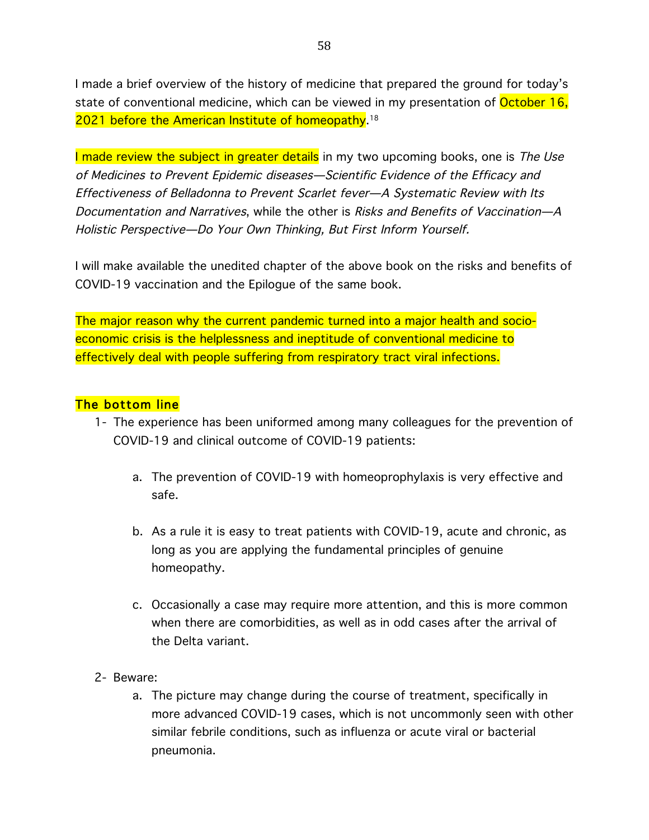I made a brief overview of the history of medicine that prepared the ground for today's state of conventional medicine, which can be viewed in my presentation of October 16, 2021 before the American Institute of homeopathy. 18

I made review the subject in greater details in my two upcoming books, one is The Use of Medicines to Prevent Epidemic diseases—Scientific Evidence of the Efficacy and Effectiveness of Belladonna to Prevent Scarlet fever—A Systematic Review with Its Documentation and Narratives, while the other is Risks and Benefits of Vaccination—A Holistic Perspective—Do Your Own Thinking, But First Inform Yourself.

I will make available the unedited chapter of the above book on the risks and benefits of COVID-19 vaccination and the Epilogue of the same book.

The major reason why the current pandemic turned into a major health and socioeconomic crisis is the helplessness and ineptitude of conventional medicine to effectively deal with people suffering from respiratory tract viral infections.

### The bottom line

- 1- The experience has been uniformed among many colleagues for the prevention of COVID-19 and clinical outcome of COVID-19 patients:
	- a. The prevention of COVID-19 with homeoprophylaxis is very effective and safe.
	- b. As a rule it is easy to treat patients with COVID-19, acute and chronic, as long as you are applying the fundamental principles of genuine homeopathy.
	- c. Occasionally a case may require more attention, and this is more common when there are comorbidities, as well as in odd cases after the arrival of the Delta variant.
- 2- Beware:
	- a. The picture may change during the course of treatment, specifically in more advanced COVID-19 cases, which is not uncommonly seen with other similar febrile conditions, such as influenza or acute viral or bacterial pneumonia.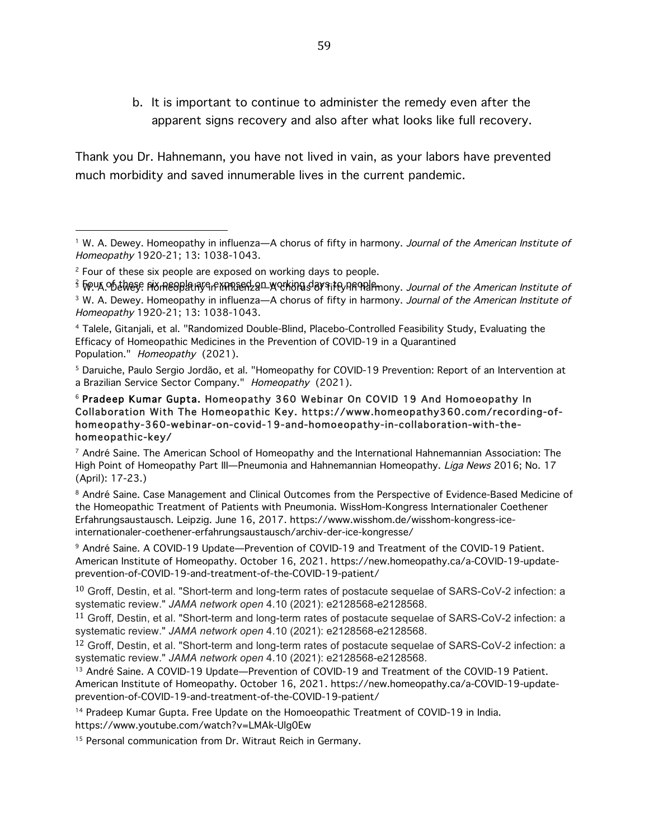b. It is important to continue to administer the remedy even after the apparent signs recovery and also after what looks like full recovery.

Thank you Dr. Hahnemann, you have not lived in vain, as your labors have prevented much morbidity and saved innumerable lives in the current pandemic.

 

<sup>15</sup> Personal communication from Dr. Witraut Reich in Germany.

<sup>&</sup>lt;sup>1</sup> W. A. Dewey. Homeopathy in influenza—A chorus of fifty in harmony. Journal of the American Institute of Homeopathy 1920-21; 13: 1038-1043.

<sup>&</sup>lt;sup>2</sup> Four of these six people are exposed on working days to people.

<sup>3</sup> Tow A of these PIX meoplathy in this edga werking day it for find fimony. Journal of the American Institute of  $3$  W. A. Dewey. Homeopathy in influenza—A chorus of fifty in harmony. Journal of the American Institute of Homeopathy 1920-21; 13: 1038-1043.

<sup>4</sup> Talele, Gitanjali, et al. "Randomized Double-Blind, Placebo-Controlled Feasibility Study, Evaluating the Efficacy of Homeopathic Medicines in the Prevention of COVID-19 in a Quarantined Population." Homeopathy (2021).

<sup>5</sup> Daruiche, Paulo Sergio Jordão, et al. "Homeopathy for COVID-19 Prevention: Report of an Intervention at a Brazilian Service Sector Company." Homeopathy (2021).

<sup>6</sup> Pradeep Kumar Gupta. Homeopathy 360 Webinar On COVID 19 And Homoeopathy In Collaboration With The Homeopathic Key. https://www.homeopathy360.com/recording-ofhomeopathy-360-webinar-on-covid-19-and-homoeopathy-in-collaboration-with-thehomeopathic-key/

 $7$  André Saine. The American School of Homeopathy and the International Hahnemannian Association: The High Point of Homeopathy Part III-Pneumonia and Hahnemannian Homeopathy. Liga News 2016; No. 17 (April): 17-23.)

<sup>8</sup> André Saine. Case Management and Clinical Outcomes from the Perspective of Evidence-Based Medicine of the Homeopathic Treatment of Patients with Pneumonia. WissHom-Kongress Internationaler Coethener Erfahrungsaustausch. Leipzig. June 16, 2017. https://www.wisshom.de/wisshom-kongress-iceinternationaler-coethener-erfahrungsaustausch/archiv-der-ice-kongresse/

<sup>9</sup> André Saine. A COVID-19 Update—Prevention of COVID-19 and Treatment of the COVID-19 Patient. American Institute of Homeopathy. October 16, 2021. https://new.homeopathy.ca/a-COVID-19-updateprevention-of-COVID-19-and-treatment-of-the-COVID-19-patient/

<sup>&</sup>lt;sup>10</sup> Groff, Destin, et al. "Short-term and long-term rates of postacute sequelae of SARS-CoV-2 infection: a systematic review." *JAMA network open* 4.10 (2021): e2128568-e2128568.

<sup>&</sup>lt;sup>11</sup> Groff, Destin, et al. "Short-term and long-term rates of postacute sequelae of SARS-CoV-2 infection: a systematic review." *JAMA network open* 4.10 (2021): e2128568-e2128568.

<sup>&</sup>lt;sup>12</sup> Groff, Destin, et al. "Short-term and long-term rates of postacute sequelae of SARS-CoV-2 infection: a systematic review." *JAMA network open* 4.10 (2021): e2128568-e2128568.

<sup>&</sup>lt;sup>13</sup> André Saine. A COVID-19 Update—Prevention of COVID-19 and Treatment of the COVID-19 Patient. American Institute of Homeopathy. October 16, 2021. https://new.homeopathy.ca/a-COVID-19-updateprevention-of-COVID-19-and-treatment-of-the-COVID-19-patient/

<sup>&</sup>lt;sup>14</sup> Pradeep Kumar Gupta. Free Update on the Homoeopathic Treatment of COVID-19 in India. https://www.youtube.com/watch?v=LMAk-Ulg0Ew